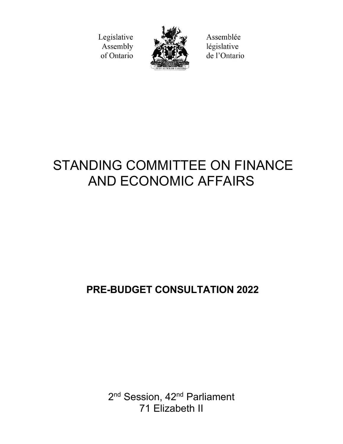Legislative Assembly of Ontario



Assemblée législative de l'Ontario

# STANDING COMMITTEE ON FINANCE AND ECONOMIC AFFAIRS

# **PRE-BUDGET CONSULTATION 2022**

2<sup>nd</sup> Session, 42<sup>nd</sup> Parliament 71 Elizabeth II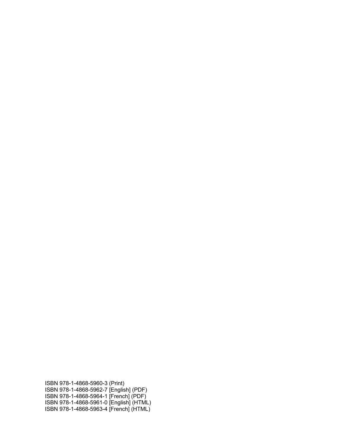ISBN 978-1-4868-5960-3 (Print) ISBN 978-1-4868-5962-7 [English] (PDF) ISBN 978-1-4868-5964-1 [French] (PDF) ISBN 978-1-4868-5961-0 [English] (HTML) ISBN 978-1-4868-5963-4 [French] (HTML)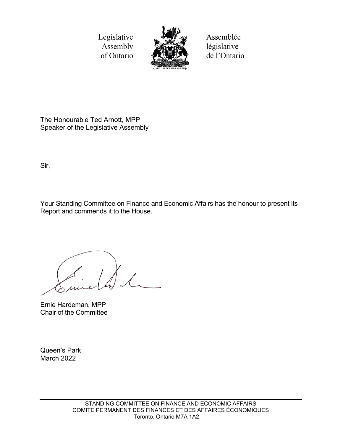Legislative Assembly of Ontario



Assemblée législative de l'Ontario

The Honourable Ted Arnott, MPP Speaker of the Legislative Assembly

Sir,

Your Standing Committee on Finance and Economic Affairs has the honour to present its Report and commends it to the House.

Ernie Hardeman, MPP Chair of the Committee

Queen's Park March 2022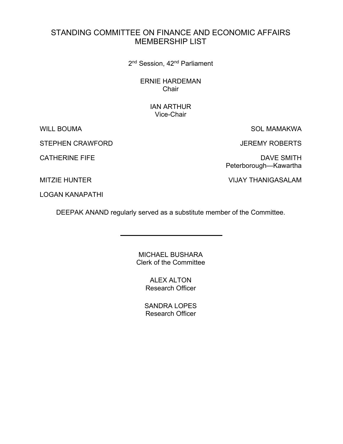# STANDING COMMITTEE ON FINANCE AND ECONOMIC AFFAIRS MEMBERSHIP LIST

2<sup>nd</sup> Session, 42<sup>nd</sup> Parliament

ERNIE HARDEMAN **Chair** 

# IAN ARTHUR Vice-Chair

STEPHEN CRAWFORD **STEPHEN CRAWFORD JEREMY ROBERTS** 

WILL BOUMA SOL MAMAKWA

CATHERINE FIFE DAVE SMITH Peterborough—Kawartha

MITZIE HUNTER VIJAY THANIGASALAM

LOGAN KANAPATHI

DEEPAK ANAND regularly served as a substitute member of the Committee.

MICHAEL BUSHARA Clerk of the Committee

> ALEX ALTON Research Officer

SANDRA LOPES Research Officer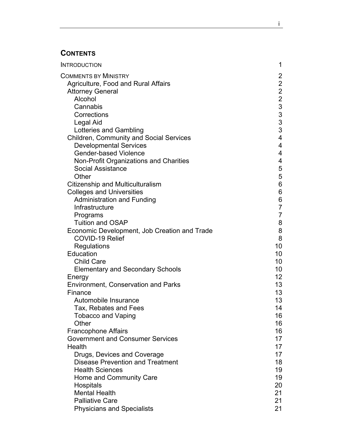# **CONTENTS**

| <b>INTRODUCTION</b>                            | 1                                                 |
|------------------------------------------------|---------------------------------------------------|
| <b>COMMENTS BY MINISTRY</b>                    | $\overline{2}$                                    |
| Agriculture, Food and Rural Affairs            | $\overline{2}$                                    |
| <b>Attorney General</b>                        | $\overline{c}$                                    |
| Alcohol                                        |                                                   |
| Cannabis                                       |                                                   |
| Corrections                                    |                                                   |
| Legal Aid                                      | $\begin{array}{c}\n2 \\ 3 \\ 3 \\ 3\n\end{array}$ |
| Lotteries and Gambling                         | 3                                                 |
| <b>Children, Community and Social Services</b> | $\overline{4}$                                    |
| <b>Developmental Services</b>                  | 4                                                 |
| <b>Gender-based Violence</b>                   | 4                                                 |
| Non-Profit Organizations and Charities         | 4                                                 |
| <b>Social Assistance</b>                       | 5                                                 |
| Other                                          | 5                                                 |
| <b>Citizenship and Multiculturalism</b>        | $6\phantom{a}$                                    |
| <b>Colleges and Universities</b>               | $\,6\,$                                           |
| <b>Administration and Funding</b>              | $\,6$                                             |
| Infrastructure                                 | $\overline{7}$                                    |
| Programs                                       | $\overline{7}$                                    |
| <b>Tuition and OSAP</b>                        | 8                                                 |
| Economic Development, Job Creation and Trade   | 8                                                 |
| <b>COVID-19 Relief</b>                         | 8                                                 |
| Regulations                                    | 10                                                |
| Education                                      | 10                                                |
| <b>Child Care</b>                              | 10                                                |
| <b>Elementary and Secondary Schools</b>        | 10                                                |
| Energy                                         | 12 <sup>2</sup>                                   |
| <b>Environment, Conservation and Parks</b>     | 13                                                |
| Finance                                        | 13                                                |
| Automobile Insurance                           | 13                                                |
| Tax, Rebates and Fees                          | 14                                                |
| <b>Tobacco and Vaping</b>                      | 16                                                |
| Other                                          | 16                                                |
| <b>Francophone Affairs</b>                     | 16                                                |
| <b>Government and Consumer Services</b>        | 17                                                |
| Health                                         | 17                                                |
| Drugs, Devices and Coverage                    | 17                                                |
| <b>Disease Prevention and Treatment</b>        | 18                                                |
| <b>Health Sciences</b>                         | 19                                                |
| Home and Community Care                        | 19                                                |
| Hospitals                                      | 20                                                |
| <b>Mental Health</b>                           | 21                                                |
| <b>Palliative Care</b>                         | 21                                                |
| <b>Physicians and Specialists</b>              | 21                                                |

in the contract of the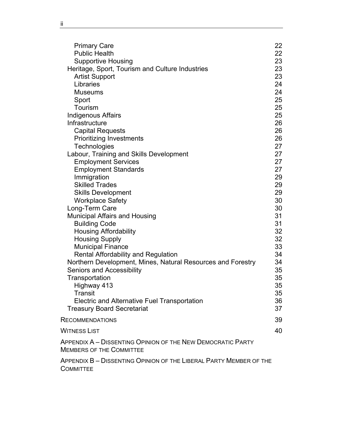| <b>Primary Care</b>                                                                            | 22       |
|------------------------------------------------------------------------------------------------|----------|
| <b>Public Health</b>                                                                           | 22       |
| <b>Supportive Housing</b>                                                                      | 23       |
| Heritage, Sport, Tourism and Culture Industries                                                | 23       |
| <b>Artist Support</b>                                                                          | 23       |
| Libraries                                                                                      | 24       |
| <b>Museums</b>                                                                                 | 24       |
| Sport                                                                                          | 25       |
| Tourism                                                                                        | 25       |
| <b>Indigenous Affairs</b>                                                                      | 25       |
| Infrastructure                                                                                 | 26       |
| <b>Capital Requests</b>                                                                        | 26       |
| <b>Prioritizing Investments</b>                                                                | 26       |
| Technologies                                                                                   | 27       |
| Labour, Training and Skills Development                                                        | 27       |
| <b>Employment Services</b>                                                                     | 27       |
| <b>Employment Standards</b>                                                                    | 27       |
| Immigration                                                                                    | 29       |
| <b>Skilled Trades</b>                                                                          | 29       |
| <b>Skills Development</b>                                                                      | 29       |
| <b>Workplace Safety</b>                                                                        | 30       |
| Long-Term Care                                                                                 | 30       |
| <b>Municipal Affairs and Housing</b>                                                           | 31       |
| <b>Building Code</b>                                                                           | 31       |
| <b>Housing Affordability</b>                                                                   | 32<br>32 |
| <b>Housing Supply</b>                                                                          | 33       |
| <b>Municipal Finance</b><br><b>Rental Affordability and Regulation</b>                         | 34       |
| Northern Development, Mines, Natural Resources and Forestry                                    | 34       |
| <b>Seniors and Accessibility</b>                                                               | 35       |
| Transportation                                                                                 | 35       |
| Highway 413                                                                                    | 35       |
| Transit                                                                                        | 35       |
| <b>Electric and Alternative Fuel Transportation</b>                                            | 36       |
| <b>Treasury Board Secretariat</b>                                                              | 37       |
| <b>RECOMMENDATIONS</b>                                                                         | 39       |
| WITNESS LIST                                                                                   | 40       |
|                                                                                                |          |
| APPENDIX A – DISSENTING OPINION OF THE NEW DEMOCRATIC PARTY<br><b>MEMBERS OF THE COMMITTEE</b> |          |
|                                                                                                |          |

APPENDIX B – [DISSENTING OPINION OF THE LIBERAL PARTY MEMBER OF THE](#page-66-0)  **[COMMITTEE](#page-66-0)**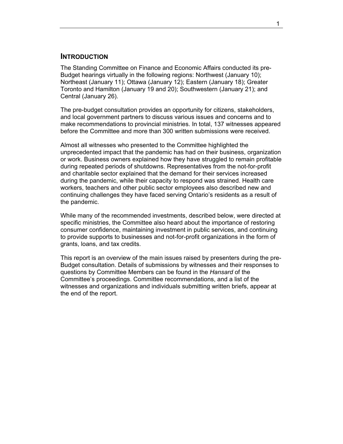## <span id="page-8-0"></span>**INTRODUCTION**

The Standing Committee on Finance and Economic Affairs conducted its pre-Budget hearings virtually in the following regions: Northwest (January 10); Northeast (January 11); Ottawa (January 12); Eastern (January 18); Greater Toronto and Hamilton (January 19 and 20); Southwestern (January 21); and Central (January 26).

The pre-budget consultation provides an opportunity for citizens, stakeholders, and local government partners to discuss various issues and concerns and to make recommendations to provincial ministries. In total, 137 witnesses appeared before the Committee and more than 300 written submissions were received.

Almost all witnesses who presented to the Committee highlighted the unprecedented impact that the pandemic has had on their business, organization or work. Business owners explained how they have struggled to remain profitable during repeated periods of shutdowns. Representatives from the not-for-profit and charitable sector explained that the demand for their services increased during the pandemic, while their capacity to respond was strained. Health care workers, teachers and other public sector employees also described new and continuing challenges they have faced serving Ontario's residents as a result of the pandemic.

While many of the recommended investments, described below, were directed at specific ministries, the Committee also heard about the importance of restoring consumer confidence, maintaining investment in public services, and continuing to provide supports to businesses and not-for-profit organizations in the form of grants, loans, and tax credits.

This report is an overview of the main issues raised by presenters during the pre-Budget consultation. Details of submissions by witnesses and their responses to questions by Committee Members can be found in the *Hansard* of the Committee's proceedings. Committee recommendations, and a list of the witnesses and organizations and individuals submitting written briefs, appear at the end of the report.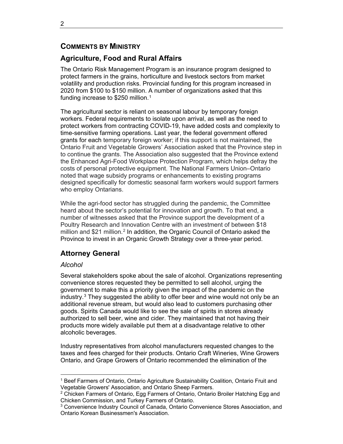# <span id="page-9-0"></span>**COMMENTS BY MINISTRY**

# <span id="page-9-1"></span>**Agriculture, Food and Rural Affairs**

The Ontario Risk Management Program is an insurance program designed to protect farmers in the grains, horticulture and livestock sectors from market volatility and production risks. Provincial funding for this program increased in 2020 from \$100 to \$150 million. A number of organizations asked that this funding increase to \$250 million.<sup>[1](#page-9-4)</sup>

The agricultural sector is reliant on seasonal labour by temporary foreign workers. Federal requirements to isolate upon arrival, as well as the need to protect workers from contracting COVID-19, have added costs and complexity to time-sensitive farming operations. Last year, the federal government offered grants for each temporary foreign worker; if this support is not maintained, the Ontario Fruit and Vegetable Growers' Association asked that the Province step in to continue the grants. The Association also suggested that the Province extend the Enhanced Agri-Food Workplace Protection Program, which helps defray the costs of personal protective equipment. The National Farmers Union–Ontario noted that wage subsidy programs or enhancements to existing programs designed specifically for domestic seasonal farm workers would support farmers who employ Ontarians.

While the agri-food sector has struggled during the pandemic, the Committee heard about the sector's potential for innovation and growth. To that end, a number of witnesses asked that the Province support the development of a Poultry Research and Innovation Centre with an investment of between \$18 million and \$21 million.[2](#page-9-5) In addition, the Organic Council of Ontario asked the Province to invest in an Organic Growth Strategy over a three-year period.

# <span id="page-9-2"></span>**Attorney General**

# <span id="page-9-3"></span>*Alcohol*

Several stakeholders spoke about the sale of alcohol. Organizations representing convenience stores requested they be permitted to sell alcohol, urging the government to make this a priority given the impact of the pandemic on the industry. $3$  They suggested the ability to offer beer and wine would not only be an additional revenue stream, but would also lead to customers purchasing other goods. Spirits Canada would like to see the sale of spirits in stores already authorized to sell beer, wine and cider. They maintained that not having their products more widely available put them at a disadvantage relative to other alcoholic beverages.

Industry representatives from alcohol manufacturers requested changes to the taxes and fees charged for their products. Ontario Craft Wineries, Wine Growers Ontario, and Grape Growers of Ontario recommended the elimination of the

<span id="page-9-4"></span> $\overline{a}$ <sup>1</sup> Beef Farmers of Ontario, Ontario Agriculture Sustainability Coalition, Ontario Fruit and Vegetable Growers' Association, and Ontario Sheep Farmers.

<span id="page-9-5"></span><sup>&</sup>lt;sup>2</sup> Chicken Farmers of Ontario, Egg Farmers of Ontario, Ontario Broiler Hatching Egg and Chicken Commission, and Turkey Farmers of Ontario.

<span id="page-9-6"></span><sup>3</sup> Convenience Industry Council of Canada, Ontario Convenience Stores Association, and Ontario Korean Businessmen's Association.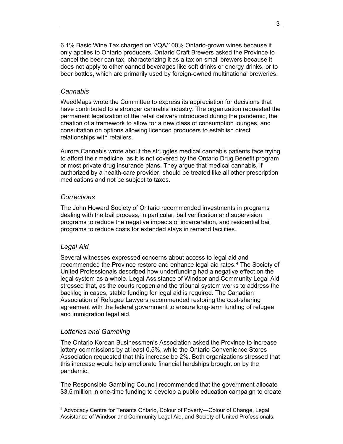6.1% Basic Wine Tax charged on VQA/100% Ontario-grown wines because it only applies to Ontario producers. Ontario Craft Brewers asked the Province to cancel the beer can tax, characterizing it as a tax on small brewers because it does not apply to other canned beverages like soft drinks or energy drinks, or to beer bottles, which are primarily used by foreign-owned multinational breweries.

#### <span id="page-10-0"></span>*Cannabis*

WeedMaps wrote the Committee to express its appreciation for decisions that have contributed to a stronger cannabis industry. The organization requested the permanent legalization of the retail delivery introduced during the pandemic, the creation of a framework to allow for a new class of consumption lounges, and consultation on options allowing licenced producers to establish direct relationships with retailers.

Aurora Cannabis wrote about the struggles medical cannabis patients face trying to afford their medicine, as it is not covered by the Ontario Drug Benefit program or most private drug insurance plans. They argue that medical cannabis, if authorized by a health-care provider, should be treated like all other prescription medications and not be subject to taxes.

#### <span id="page-10-1"></span>*Corrections*

The John Howard Society of Ontario recommended investments in programs dealing with the bail process, in particular, bail verification and supervision programs to reduce the negative impacts of incarceration, and residential bail programs to reduce costs for extended stays in remand facilities.

### <span id="page-10-2"></span>*Legal Aid*

 $\overline{a}$ 

Several witnesses expressed concerns about access to legal aid and recommended the Province restore and enhance legal aid rates.[4](#page-10-4) The Society of United Professionals described how underfunding had a negative effect on the legal system as a whole. Legal Assistance of Windsor and Community Legal Aid stressed that, as the courts reopen and the tribunal system works to address the backlog in cases, stable funding for legal aid is required. The Canadian Association of Refugee Lawyers recommended restoring the cost-sharing agreement with the federal government to ensure long-term funding of refugee and immigration legal aid.

#### <span id="page-10-3"></span>*Lotteries and Gambling*

The Ontario Korean Businessmen's Association asked the Province to increase lottery commissions by at least 0.5%, while the Ontario Convenience Stores Association requested that this increase be 2%. Both organizations stressed that this increase would help ameliorate financial hardships brought on by the pandemic.

The Responsible Gambling Council recommended that the government allocate \$3.5 million in one-time funding to develop a public education campaign to create

<span id="page-10-4"></span><sup>4</sup> Advocacy Centre for Tenants Ontario, Colour of Poverty—Colour of Change, Legal Assistance of Windsor and Community Legal Aid, and Society of United Professionals.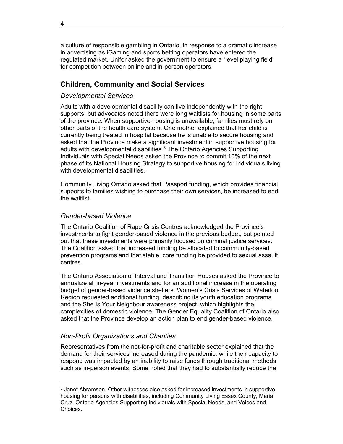a culture of responsible gambling in Ontario, in response to a dramatic increase in advertising as iGaming and sports betting operators have entered the regulated market. Unifor asked the government to ensure a "level playing field" for competition between online and in-person operators.

# <span id="page-11-0"></span>**Children, Community and Social Services**

#### <span id="page-11-1"></span>*Developmental Services*

Adults with a developmental disability can live independently with the right supports, but advocates noted there were long waitlists for housing in some parts of the province. When supportive housing is unavailable, families must rely on other parts of the health care system. One mother explained that her child is currently being treated in hospital because he is unable to secure housing and asked that the Province make a significant investment in supportive housing for adults with developmental disabilities.<sup>[5](#page-11-4)</sup> The Ontario Agencies Supporting Individuals with Special Needs asked the Province to commit 10% of the next phase of its National Housing Strategy to supportive housing for individuals living with developmental disabilities.

Community Living Ontario asked that Passport funding, which provides financial supports to families wishing to purchase their own services, be increased to end the waitlist.

#### <span id="page-11-2"></span>*Gender-based Violence*

The Ontario Coalition of Rape Crisis Centres acknowledged the Province's investments to fight gender-based violence in the previous budget, but pointed out that these investments were primarily focused on criminal justice services. The Coalition asked that increased funding be allocated to community-based prevention programs and that stable, core funding be provided to sexual assault centres.

The Ontario Association of Interval and Transition Houses asked the Province to annualize all in-year investments and for an additional increase in the operating budget of gender-based violence shelters. Women's Crisis Services of Waterloo Region requested additional funding, describing its youth education programs and the She Is Your Neighbour awareness project, which highlights the complexities of domestic violence. The Gender Equality Coalition of Ontario also asked that the Province develop an action plan to end gender-based violence.

# <span id="page-11-3"></span>*Non-Profit Organizations and Charities*

 $\overline{a}$ 

Representatives from the not-for-profit and charitable sector explained that the demand for their services increased during the pandemic, while their capacity to respond was impacted by an inability to raise funds through traditional methods such as in-person events. Some noted that they had to substantially reduce the

<span id="page-11-4"></span><sup>5</sup> Janet Abramson. Other witnesses also asked for increased investments in supportive housing for persons with disabilities, including Community Living Essex County, Maria Cruz, Ontario Agencies Supporting Individuals with Special Needs, and Voices and Choices.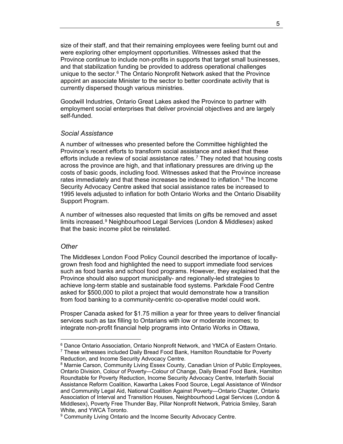size of their staff, and that their remaining employees were feeling burnt out and were exploring other employment opportunities. Witnesses asked that the Province continue to include non-profits in supports that target small businesses, and that stabilization funding be provided to address operational challenges unique to the sector.<sup>[6](#page-12-2)</sup> The Ontario Nonprofit Network asked that the Province appoint an associate Minister to the sector to better coordinate activity that is currently dispersed though various ministries.

Goodwill Industries, Ontario Great Lakes asked the Province to partner with employment social enterprises that deliver provincial objectives and are largely self-funded.

#### <span id="page-12-0"></span>*Social Assistance*

A number of witnesses who presented before the Committee highlighted the Province's recent efforts to transform social assistance and asked that these efforts include a review of social assistance rates.<sup>[7](#page-12-3)</sup> They noted that housing costs across the province are high, and that inflationary pressures are driving up the costs of basic goods, including food. Witnesses asked that the Province increase rates immediately and that these increases be indexed to inflation.<sup>[8](#page-12-4)</sup> The Income Security Advocacy Centre asked that social assistance rates be increased to 1995 levels adjusted to inflation for both Ontario Works and the Ontario Disability Support Program.

A number of witnesses also requested that limits on gifts be removed and asset limits increased.<sup>[9](#page-12-5)</sup> Neighbourhood Legal Services (London & Middlesex) asked that the basic income pilot be reinstated.

#### <span id="page-12-1"></span>*Other*

 $\overline{a}$ 

The Middlesex London Food Policy Council described the importance of locallygrown fresh food and highlighted the need to support immediate food services such as food banks and school food programs. However, they explained that the Province should also support municipally- and regionally-led strategies to achieve long-term stable and sustainable food systems. Parkdale Food Centre asked for \$500,000 to pilot a project that would demonstrate how a transition from food banking to a community-centric co-operative model could work.

Prosper Canada asked for \$1.75 million a year for three years to deliver financial services such as tax filling to Ontarians with low or moderate incomes; to integrate non-profit financial help programs into Ontario Works in Ottawa,

<span id="page-12-3"></span><span id="page-12-2"></span> $^6$  Dance Ontario Association, Ontario Nonprofit Network, and YMCA of Eastern Ontario. <sup>7</sup> These witnesses included Daily Bread Food Bank, Hamilton Roundtable for Poverty Reduction, and Income Security Advocacy Centre.<br><sup>8</sup> Marnie Carson, Community Living Essex County, Canadian Union of Public Employees,

<span id="page-12-4"></span>Ontario Division, Colour of Poverty—Colour of Change, Daily Bread Food Bank, Hamilton Roundtable for Poverty Reduction, Income Security Advocacy Centre, Interfaith Social Assistance Reform Coalition, Kawartha Lakes Food Source, Legal Assistance of Windsor and Community Legal Aid, National Coalition Against Poverty—Ontario Chapter, Ontario Association of Interval and Transition Houses, Neighbourhood Legal Services (London & Middlesex), Poverty Free Thunder Bay, Pillar Nonprofit Network, Patricia Smiley, Sarah White, and YWCA Toronto.

<span id="page-12-5"></span><sup>&</sup>lt;sup>9</sup> Community Living Ontario and the Income Security Advocacy Centre.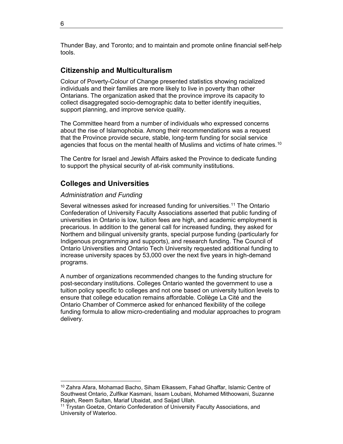Thunder Bay, and Toronto; and to maintain and promote online financial self-help tools.

# <span id="page-13-0"></span>**Citizenship and Multiculturalism**

Colour of Poverty-Colour of Change presented statistics showing racialized individuals and their families are more likely to live in poverty than other Ontarians. The organization asked that the province improve its capacity to collect disaggregated socio-demographic data to better identify inequities, support planning, and improve service quality.

The Committee heard from a number of individuals who expressed concerns about the rise of Islamophobia. Among their recommendations was a request that the Province provide secure, stable, long-term funding for social service agencies that focus on the mental health of Muslims and victims of hate crimes.<sup>[10](#page-13-3)</sup>

The Centre for Israel and Jewish Affairs asked the Province to dedicate funding to support the physical security of at-risk community institutions.

# <span id="page-13-1"></span>**Colleges and Universities**

#### <span id="page-13-2"></span>*Administration and Funding*

Several witnesses asked for increased funding for universities.[1](#page-13-4)1 The Ontario Confederation of University Faculty Associations asserted that public funding of universities in Ontario is low, tuition fees are high, and academic employment is precarious. In addition to the general call for increased funding, they asked for Northern and bilingual university grants, special purpose funding (particularly for Indigenous programming and supports), and research funding. The Council of Ontario Universities and Ontario Tech University requested additional funding to increase university spaces by 53,000 over the next five years in high-demand programs.

A number of organizations recommended changes to the funding structure for post-secondary institutions. Colleges Ontario wanted the government to use a tuition policy specific to colleges and not one based on university tuition levels to ensure that college education remains affordable. Collège La Cité and the Ontario Chamber of Commerce asked for enhanced flexibility of the college funding formula to allow micro-credentialing and modular approaches to program delivery.

<span id="page-13-3"></span><sup>10</sup> Zahra Afara, Mohamad Bacho, Siham Elkassem, Fahad Ghaffar, Islamic Centre of Southwest Ontario, Zulfikar Kasmani, Issam Loubani, Mohamed Mithoowani, Suzanne Rajeh, Reem Sultan, Mariaf Ubaidat, and Saijad Ullah.

<span id="page-13-4"></span><sup>&</sup>lt;sup>11</sup> Trystan Goetze, Ontario Confederation of University Faculty Associations, and University of Waterloo.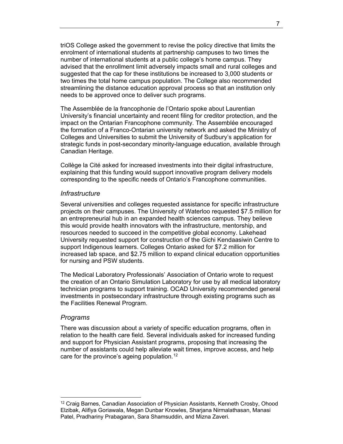triOS College asked the government to revise the policy directive that limits the enrolment of international students at partnership campuses to two times the number of international students at a public college's home campus. They advised that the enrollment limit adversely impacts small and rural colleges and suggested that the cap for these institutions be increased to 3,000 students or two times the total home campus population. The College also recommended streamlining the distance education approval process so that an institution only needs to be approved once to deliver such programs.

The Assemblée de la francophonie de l'Ontario spoke about Laurentian University's financial uncertainty and recent filing for creditor protection, and the impact on the Ontarian Francophone community. The Assemblée encouraged the formation of a Franco-Ontarian university network and asked the Ministry of Colleges and Universities to submit the University of Sudbury's application for strategic funds in post-secondary minority-language education, available through Canadian Heritage.

Collège la Cité asked for increased investments into their digital infrastructure, explaining that this funding would support innovative program delivery models corresponding to the specific needs of Ontario's Francophone communities.

#### <span id="page-14-0"></span>*Infrastructure*

Several universities and colleges requested assistance for specific infrastructure projects on their campuses. The University of Waterloo requested \$7.5 million for an entrepreneurial hub in an expanded health sciences campus. They believe this would provide health innovators with the infrastructure, mentorship, and resources needed to succeed in the competitive global economy. Lakehead University requested support for construction of the Gichi Kendaasiwin Centre to support Indigenous learners. Colleges Ontario asked for \$7.2 million for increased lab space, and \$2.75 million to expand clinical education opportunities for nursing and PSW students.

The Medical Laboratory Professionals' Association of Ontario wrote to request the creation of an Ontario Simulation Laboratory for use by all medical laboratory technician programs to support training. OCAD University recommended general investments in postsecondary infrastructure through existing programs such as the Facilities Renewal Program.

#### <span id="page-14-1"></span>*Programs*

 $\overline{a}$ 

There was discussion about a variety of specific education programs, often in relation to the health care field. Several individuals asked for increased funding and support for Physician Assistant programs, proposing that increasing the number of assistants could help alleviate wait times, improve access, and help care for the province's ageing population.<sup>[12](#page-14-2)</sup>

<span id="page-14-2"></span><sup>&</sup>lt;sup>12</sup> Craig Barnes, Canadian Association of Physician Assistants, Kenneth Crosby, Ohood Elzibak, Alifiya Goriawala, Megan Dunbar Knowles, Sharjana Nirmalathasan, Manasi Patel, Pradhariny Prabagaran, Sara Shamsuddin, and Mizna Zaveri.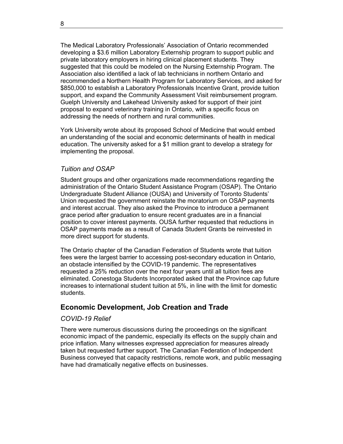The Medical Laboratory Professionals' Association of Ontario recommended developing a \$3.6 million Laboratory Externship program to support public and private laboratory employers in hiring clinical placement students. They suggested that this could be modeled on the Nursing Externship Program. The Association also identified a lack of lab technicians in northern Ontario and recommended a Northern Health Program for Laboratory Services, and asked for \$850,000 to establish a Laboratory Professionals Incentive Grant, provide tuition support, and expand the Community Assessment Visit reimbursement program. Guelph University and Lakehead University asked for support of their joint proposal to expand veterinary training in Ontario, with a specific focus on addressing the needs of northern and rural communities.

York University wrote about its proposed School of Medicine that would embed an understanding of the social and economic determinants of health in medical education. The university asked for a \$1 million grant to develop a strategy for implementing the proposal.

### <span id="page-15-0"></span>*Tuition and OSAP*

Student groups and other organizations made recommendations regarding the administration of the Ontario Student Assistance Program (OSAP). The Ontario Undergraduate Student Alliance (OUSA) and University of Toronto Students' Union requested the government reinstate the moratorium on OSAP payments and interest accrual. They also asked the Province to introduce a permanent grace period after graduation to ensure recent graduates are in a financial position to cover interest payments. OUSA further requested that reductions in OSAP payments made as a result of Canada Student Grants be reinvested in more direct support for students.

The Ontario chapter of the Canadian Federation of Students wrote that tuition fees were the largest barrier to accessing post-secondary education in Ontario, an obstacle intensified by the COVID-19 pandemic. The representatives requested a 25% reduction over the next four years until all tuition fees are eliminated. Conestoga Students Incorporated asked that the Province cap future increases to international student tuition at 5%, in line with the limit for domestic students.

# <span id="page-15-1"></span>**Economic Development, Job Creation and Trade**

#### <span id="page-15-2"></span>*COVID-19 Relief*

There were numerous discussions during the proceedings on the significant economic impact of the pandemic, especially its effects on the supply chain and price inflation. Many witnesses expressed appreciation for measures already taken but requested further support. The Canadian Federation of Independent Business conveyed that capacity restrictions, remote work, and public messaging have had dramatically negative effects on businesses.

8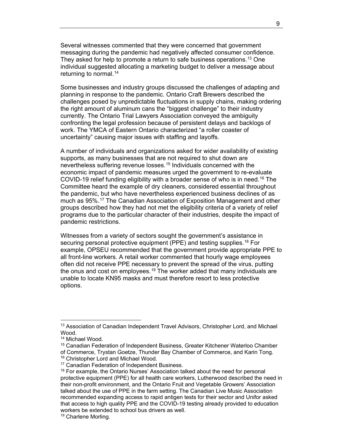Several witnesses commented that they were concerned that government messaging during the pandemic had negatively affected consumer confidence. They asked for help to promote a return to safe business operations.<sup>[13](#page-16-0)</sup> One individual suggested allocating a marketing budget to deliver a message about returning to normal.<sup>[14](#page-16-1)</sup>

Some businesses and industry groups discussed the challenges of adapting and planning in response to the pandemic. Ontario Craft Brewers described the challenges posed by unpredictable fluctuations in supply chains, making ordering the right amount of aluminum cans the "biggest challenge" to their industry currently. The Ontario Trial Lawyers Association conveyed the ambiguity confronting the legal profession because of persistent delays and backlogs of work. The YMCA of Eastern Ontario characterized "a roller coaster of uncertainty" causing major issues with staffing and layoffs.

A number of individuals and organizations asked for wider availability of existing supports, as many businesses that are not required to shut down are nevertheless suffering revenue losses.[1](#page-16-2)5 Individuals concerned with the economic impact of pandemic measures urged the government to re-evaluate COVID-19 relief funding eligibility with a broader sense of who is in need.[16](#page-16-3) The Committee heard the example of dry cleaners, considered essential throughout the pandemic, but who have nevertheless experienced business declines of as much as 95%.[1](#page-16-4)7 The Canadian Association of Exposition Management and other groups described how they had not met the eligibility criteria of a variety of relief programs due to the particular character of their industries, despite the impact of pandemic restrictions.

Witnesses from a variety of sectors sought the government's assistance in securing personal protective equipment (PPE) and testing supplies.<sup>[1](#page-16-5)8</sup> For example, OPSEU recommended that the government provide appropriate PPE to all front-line workers. A retail worker commented that hourly wage employees often did not receive PPE necessary to prevent the spread of the virus, putting the onus and cost on employees.<sup>[19](#page-16-6)</sup> The worker added that many individuals are unable to locate KN95 masks and must therefore resort to less protective options.

<span id="page-16-0"></span><sup>&</sup>lt;sup>13</sup> Association of Canadian Independent Travel Advisors, Christopher Lord, and Michael Wood.

<span id="page-16-1"></span><sup>14</sup> Michael Wood.

<span id="page-16-2"></span><sup>&</sup>lt;sup>15</sup> Canadian Federation of Independent Business, Greater Kitchener Waterloo Chamber<br>of Commerce, Trystan Goetze, Thunder Bay Chamber of Commerce, and Karin Tong.  $^{16}$  Christopher Lord and Michael Wood.<br> $^{17}$  Canadian Federation of Independent Business.<br> $^{17}$  For example, the Ontario Nurses' Association talked about the need for personal

<span id="page-16-3"></span>

<span id="page-16-5"></span><span id="page-16-4"></span>protective equipment (PPE) for all health care workers, Lutherwood described the need in their non-profit environment, and the Ontario Fruit and Vegetable Growers' Association talked about the use of PPE in the farm setting. The Canadian Live Music Association recommended expanding access to rapid antigen tests for their sector and Unifor asked that access to high quality PPE and the COVID-19 testing already provided to education workers be extended to school bus drivers as well.

<span id="page-16-6"></span><sup>19</sup> Charlene Morling.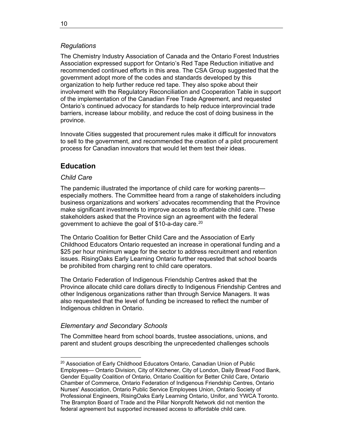# <span id="page-17-0"></span>*Regulations*

The Chemistry Industry Association of Canada and the Ontario Forest Industries Association expressed support for Ontario's Red Tape Reduction initiative and recommended continued efforts in this area. The CSA Group suggested that the government adopt more of the codes and standards developed by this organization to help further reduce red tape. They also spoke about their involvement with the Regulatory Reconciliation and Cooperation Table in support of the implementation of the Canadian Free Trade Agreement, and requested Ontario's continued advocacy for standards to help reduce interprovincial trade barriers, increase labour mobility, and reduce the cost of doing business in the province.

Innovate Cities suggested that procurement rules make it difficult for innovators to sell to the government, and recommended the creation of a pilot procurement process for Canadian innovators that would let them test their ideas.

# <span id="page-17-1"></span>**Education**

# <span id="page-17-2"></span>*Child Care*

The pandemic illustrated the importance of child care for working parents especially mothers. The Committee heard from a range of stakeholders including business organizations and workers' advocates recommending that the Province make significant investments to improve access to affordable child care. These stakeholders asked that the Province sign an agreement with the federal government to achieve the goal of \$10-a-day care.<sup>[2](#page-17-4)0</sup>

The Ontario Coalition for Better Child Care and the Association of Early Childhood Educators Ontario requested an increase in operational funding and a \$25 per hour minimum wage for the sector to address recruitment and retention issues. RisingOaks Early Learning Ontario further requested that school boards be prohibited from charging rent to child care operators.

The Ontario Federation of Indigenous Friendship Centres asked that the Province allocate child care dollars directly to Indigenous Friendship Centres and other Indigenous organizations rather than through Service Managers. It was also requested that the level of funding be increased to reflect the number of Indigenous children in Ontario.

# <span id="page-17-3"></span>*Elementary and Secondary Schools*

The Committee heard from school boards, trustee associations, unions, and parent and student groups describing the unprecedented challenges schools

<span id="page-17-4"></span> $\overline{a}$ <sup>20</sup> Association of Early Childhood Educators Ontario, Canadian Union of Public Employees— Ontario Division, City of Kitchener, City of London, Daily Bread Food Bank, Gender Equality Coalition of Ontario, Ontario Coalition for Better Child Care, Ontario Chamber of Commerce, Ontario Federation of Indigenous Friendship Centres, Ontario Nurses' Association, Ontario Public Service Employees Union, Ontario Society of Professional Engineers, RisingOaks Early Learning Ontario, Unifor, and YWCA Toronto. The Brampton Board of Trade and the Pillar Nonprofit Network did not mention the federal agreement but supported increased access to affordable child care.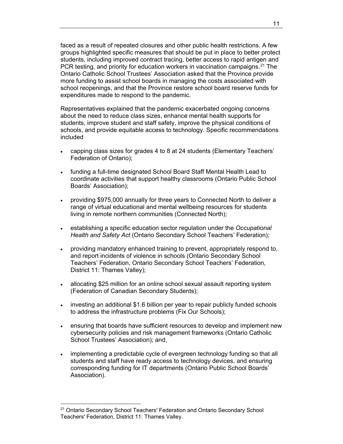faced as a result of repeated closures and other public health restrictions. A few groups highlighted specific measures that should be put in place to better protect students, including improved contract tracing, better access to rapid antigen and PCR testing, and priority for education workers in vaccination campaigns.<sup>[21](#page-18-0)</sup> The Ontario Catholic School Trustees' Association asked that the Province provide more funding to assist school boards in managing the costs associated with school reopenings, and that the Province restore school board reserve funds for expenditures made to respond to the pandemic.

Representatives explained that the pandemic exacerbated ongoing concerns about the need to reduce class sizes, enhance mental health supports for students, improve student and staff safety, improve the physical conditions of schools, and provide equitable access to technology. Specific recommendations included

- capping class sizes for grades 4 to 8 at 24 students (Elementary Teachers' Federation of Ontario);
- funding a full-time designated School Board Staff Mental Health Lead to coordinate activities that support healthy classrooms (Ontario Public School Boards' Association);
- providing \$975,000 annually for three years to Connected North to deliver a range of virtual educational and mental wellbeing resources for students living in remote northern communities (Connected North);
- establishing a specific education sector regulation under the *Occupational Health and Safety Act* (Ontario Secondary School Teachers' Federation);
- providing mandatory enhanced training to prevent, appropriately respond to, and report incidents of violence in schools (Ontario Secondary School Teachers' Federation, Ontario Secondary School Teachers' Federation, District 11: Thames Valley);
- allocating \$25 million for an online school sexual assault reporting system (Federation of Canadian Secondary Students);
- investing an additional \$1.6 billion per year to repair publicly funded schools to address the infrastructure problems (Fix Our Schools);
- ensuring that boards have sufficient resources to develop and implement new cybersecurity policies and risk management frameworks (Ontario Catholic School Trustees' Association); and,
- implementing a predictable cycle of evergreen technology funding so that all students and staff have ready access to technology devices, and ensuring corresponding funding for IT departments (Ontario Public School Boards' Association).

<span id="page-18-0"></span><sup>&</sup>lt;sup>21</sup> Ontario Secondary School Teachers' Federation and Ontario Secondary School Teachers' Federation, District 11: Thames Valley.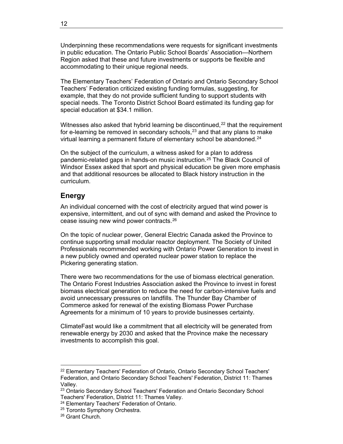Underpinning these recommendations were requests for significant investments in public education. The Ontario Public School Boards' Association—Northern Region asked that these and future investments or supports be flexible and accommodating to their unique regional needs.

The Elementary Teachers' Federation of Ontario and Ontario Secondary School Teachers' Federation criticized existing funding formulas, suggesting, for example, that they do not provide sufficient funding to support students with special needs. The Toronto District School Board estimated its funding gap for special education at \$34.1 million.

Witnesses also asked that hybrid learning be discontinued,<sup>[22](#page-19-1)</sup> that the requirement for e-learning be removed in secondary schools, $23$  $23$  and that any plans to make virtual learning a permanent fixture of elementary school be abandoned.<sup>[24](#page-19-3)</sup>

On the subject of the curriculum, a witness asked for a plan to address pandemic-related gaps in hands-on music instruction.[25](#page-19-4) The Black Council of Windsor Essex asked that sport and physical education be given more emphasis and that additional resources be allocated to Black history instruction in the curriculum.

# <span id="page-19-0"></span>**Energy**

An individual concerned with the cost of electricity argued that wind power is expensive, intermittent, and out of sync with demand and asked the Province to cease issuing new wind power contracts.[26](#page-19-5)

On the topic of nuclear power, General Electric Canada asked the Province to continue supporting small modular reactor deployment. The Society of United Professionals recommended working with Ontario Power Generation to invest in a new publicly owned and operated nuclear power station to replace the Pickering generating station.

There were two recommendations for the use of biomass electrical generation. The Ontario Forest Industries Association asked the Province to invest in forest biomass electrical generation to reduce the need for carbon-intensive fuels and avoid unnecessary pressures on landfills. The Thunder Bay Chamber of Commerce asked for renewal of the existing Biomass Power Purchase Agreements for a minimum of 10 years to provide businesses certainty.

ClimateFast would like a commitment that all electricity will be generated from renewable energy by 2030 and asked that the Province make the necessary investments to accomplish this goal.

<span id="page-19-1"></span><sup>22</sup> Elementary Teachers' Federation of Ontario, Ontario Secondary School Teachers' Federation, and Ontario Secondary School Teachers' Federation, District 11: Thames Valley.

<span id="page-19-2"></span><sup>&</sup>lt;sup>23</sup> Ontario Secondary School Teachers' Federation and Ontario Secondary School<br>Teachers' Federation, District 11: Thames Valley.

<span id="page-19-3"></span><sup>&</sup>lt;sup>24</sup> Elementary Teachers' Federation of Ontario.

<span id="page-19-4"></span><sup>&</sup>lt;sup>25</sup> Toronto Symphony Orchestra.

<span id="page-19-5"></span><sup>26</sup> Grant Church.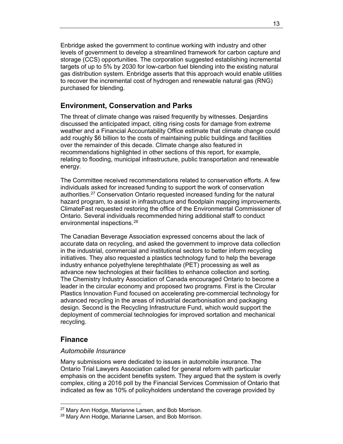Enbridge asked the government to continue working with industry and other levels of government to develop a streamlined framework for carbon capture and storage (CCS) opportunities. The corporation suggested establishing incremental targets of up to 5% by 2030 for low-carbon fuel blending into the existing natural gas distribution system. Enbridge asserts that this approach would enable utilities to recover the incremental cost of hydrogen and renewable natural gas (RNG) purchased for blending.

# <span id="page-20-0"></span>**Environment, Conservation and Parks**

The threat of climate change was raised frequently by witnesses. Desjardins discussed the anticipated impact, citing rising costs for damage from extreme weather and a Financial Accountability Office estimate that climate change could add roughly \$6 billion to the costs of maintaining public buildings and facilities over the remainder of this decade. Climate change also featured in recommendations highlighted in other sections of this report, for example, relating to flooding, municipal infrastructure, public transportation and renewable energy.

The Committee received recommendations related to conservation efforts. A few individuals asked for increased funding to support the work of conservation authorities.<sup>[2](#page-20-3)7</sup> Conservation Ontario requested increased funding for the natural hazard program, to assist in infrastructure and floodplain mapping improvements. ClimateFast requested restoring the office of the Environmental Commissioner of Ontario. Several individuals recommended hiring additional staff to conduct environmental inspections.[28](#page-20-4)

The Canadian Beverage Association expressed concerns about the lack of accurate data on recycling, and asked the government to improve data collection in the industrial, commercial and institutional sectors to better inform recycling initiatives. They also requested a plastics technology fund to help the beverage industry enhance polyethylene terephthalate (PET) processing as well as advance new technologies at their facilities to enhance collection and sorting. The Chemistry Industry Association of Canada encouraged Ontario to become a leader in the circular economy and proposed two programs. First is the Circular Plastics Innovation Fund focused on accelerating pre-commercial technology for advanced recycling in the areas of industrial decarbonisation and packaging design. Second is the Recycling Infrastructure Fund, which would support the deployment of commercial technologies for improved sortation and mechanical recycling.

# <span id="page-20-1"></span>**Finance**

 $\overline{a}$ 

#### <span id="page-20-2"></span>*Automobile Insurance*

Many submissions were dedicated to issues in automobile insurance. The Ontario Trial Lawyers Association called for general reform with particular emphasis on the accident benefits system. They argued that the system is overly complex, citing a 2016 poll by the Financial Services Commission of Ontario that indicated as few as 10% of policyholders understand the coverage provided by

<span id="page-20-4"></span><span id="page-20-3"></span><sup>&</sup>lt;sup>27</sup> Mary Ann Hodge, Marianne Larsen, and Bob Morrison.

<sup>&</sup>lt;sup>28</sup> Mary Ann Hodge, Marianne Larsen, and Bob Morrison.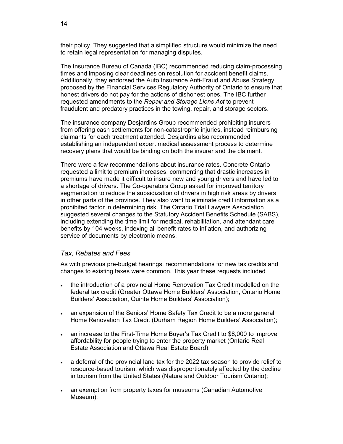their policy. They suggested that a simplified structure would minimize the need to retain legal representation for managing disputes.

The Insurance Bureau of Canada (IBC) recommended reducing claim-processing times and imposing clear deadlines on resolution for accident benefit claims. Additionally, they endorsed the Auto Insurance Anti-Fraud and Abuse Strategy proposed by the Financial Services Regulatory Authority of Ontario to ensure that honest drivers do not pay for the actions of dishonest ones. The IBC further requested amendments to the *Repair and Storage Liens Act* to prevent fraudulent and predatory practices in the towing, repair, and storage sectors.

The insurance company Desjardins Group recommended prohibiting insurers from offering cash settlements for non-catastrophic injuries, instead reimbursing claimants for each treatment attended. Desjardins also recommended establishing an independent expert medical assessment process to determine recovery plans that would be binding on both the insurer and the claimant.

There were a few recommendations about insurance rates. Concrete Ontario requested a limit to premium increases, commenting that drastic increases in premiums have made it difficult to insure new and young drivers and have led to a shortage of drivers. The Co-operators Group asked for improved territory segmentation to reduce the subsidization of drivers in high risk areas by drivers in other parts of the province. They also want to eliminate credit information as a prohibited factor in determining risk. The Ontario Trial Lawyers Association suggested several changes to the Statutory Accident Benefits Schedule (SABS), including extending the time limit for medical, rehabilitation, and attendant care benefits by 104 weeks, indexing all benefit rates to inflation, and authorizing service of documents by electronic means.

# <span id="page-21-0"></span>*Tax, Rebates and Fees*

As with previous pre-budget hearings, recommendations for new tax credits and changes to existing taxes were common. This year these requests included

- the introduction of a provincial Home Renovation Tax Credit modelled on the federal tax credit (Greater Ottawa Home Builders' Association, Ontario Home Builders' Association, Quinte Home Builders' Association);
- an expansion of the Seniors' Home Safety Tax Credit to be a more general Home Renovation Tax Credit (Durham Region Home Builders' Association);
- an increase to the First-Time Home Buyer's Tax Credit to \$8,000 to improve affordability for people trying to enter the property market (Ontario Real Estate Association and Ottawa Real Estate Board);
- a deferral of the provincial land tax for the 2022 tax season to provide relief to resource-based tourism, which was disproportionately affected by the decline in tourism from the United States (Nature and Outdoor Tourism Ontario);
- an exemption from property taxes for museums (Canadian Automotive Museum);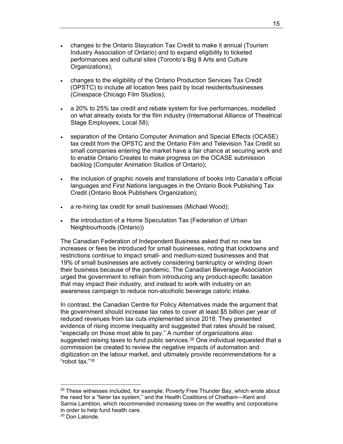- changes to the Ontario Staycation Tax Credit to make it annual (Tourism Industry Association of Ontario) and to expand eligibility to ticketed performances and cultural sites (Toronto's Big 8 Arts and Culture Organizations);
- changes to the eligibility of the Ontario Production Services Tax Credit (OPSTC) to include all location fees paid by local residents/businesses (Cinespace Chicago Film Studios);
- a 20% to 25% tax credit and rebate system for live performances, modelled on what already exists for the film industry (International Alliance of Theatrical Stage Employees, Local 58);
- separation of the Ontario Computer Animation and Special Effects (OCASE) tax credit from the OPSTC and the Ontario Film and Television Tax Credit so small companies entering the market have a fair chance at securing work and to enable Ontario Creates to make progress on the OCASE submission backlog (Computer Animation Studios of Ontario);
- the inclusion of graphic novels and translations of books into Canada's official languages and First Nations languages in the Ontario Book Publishing Tax Credit (Ontario Book Publishers Organization);
- a re-hiring tax credit for small businesses (Michael Wood);
- the introduction of a Home Speculation Tax (Federation of Urban Neighbourhoods (Ontario))

The Canadian Federation of Independent Business asked that no new tax increases or fees be introduced for small businesses, noting that lockdowns and restrictions continue to impact small- and medium-sized businesses and that 19% of small businesses are actively considering bankruptcy or winding down their business because of the pandemic. The Canadian Beverage Association urged the government to refrain from introducing any product-specific taxation that may impact their industry, and instead to work with industry on an awareness campaign to reduce non-alcoholic beverage caloric intake.

In contrast, the Canadian Centre for Policy Alternatives made the argument that the government should increase tax rates to cover at least \$5 billion per year of reduced revenues from tax cuts implemented since 2018. They presented evidence of rising income inequality and suggested that rates should be raised, "especially on those most able to pay." A number of organizations also suggested raising taxes to fund public services.<sup>[29](#page-22-0)</sup> One individual requested that a commission be created to review the negative impacts of automation and digitization on the labour market, and ultimately provide recommendations for a "robot tax."[30](#page-22-1)

<span id="page-22-0"></span> $29$  These witnesses included, for example, Poverty Free Thunder Bay, which wrote about the need for a "fairer tax system," and the Health Coalitions of Chatham—Kent and Sarnia Lambton, which recommended increasing taxes on the wealthy and corporations in order to help fund health care.

<span id="page-22-1"></span><sup>&</sup>lt;sup>30</sup> Don Lalonde.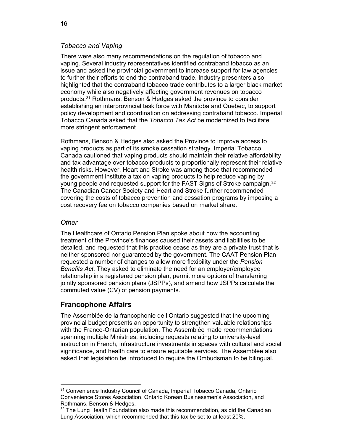# <span id="page-23-0"></span>*Tobacco and Vaping*

There were also many recommendations on the regulation of tobacco and vaping. Several industry representatives identified contraband tobacco as an issue and asked the provincial government to increase support for law agencies to further their efforts to end the contraband trade. Industry presenters also highlighted that the contraband tobacco trade contributes to a larger black market economy while also negatively affecting government revenues on tobacco products.[31](#page-23-3) Rothmans, Benson & Hedges asked the province to consider establishing an interprovincial task force with Manitoba and Quebec, to support policy development and coordination on addressing contraband tobacco. Imperial Tobacco Canada asked that the *Tobacco Tax Act* be modernized to facilitate more stringent enforcement.

Rothmans, Benson & Hedges also asked the Province to improve access to vaping products as part of its smoke cessation strategy. Imperial Tobacco Canada cautioned that vaping products should maintain their relative affordability and tax advantage over tobacco products to proportionally represent their relative health risks. However, Heart and Stroke was among those that recommended the government institute a tax on vaping products to help reduce vaping by young people and requested support for the FAST Signs of Stroke campaign.<sup>[32](#page-23-4)</sup> The Canadian Cancer Society and Heart and Stroke further recommended covering the costs of tobacco prevention and cessation programs by imposing a cost recovery fee on tobacco companies based on market share.

## <span id="page-23-1"></span>*Other*

 $\overline{a}$ 

The Healthcare of Ontario Pension Plan spoke about how the accounting treatment of the Province's finances caused their assets and liabilities to be detailed, and requested that this practice cease as they are a private trust that is neither sponsored nor guaranteed by the government. The CAAT Pension Plan requested a number of changes to allow more flexibility under the *Pension Benefits Act*. They asked to eliminate the need for an employer/employee relationship in a registered pension plan, permit more options of transferring jointly sponsored pension plans (JSPPs), and amend how JSPPs calculate the commuted value (CV) of pension payments.

# <span id="page-23-2"></span>**Francophone Affairs**

The Assemblée de la francophonie de l'Ontario suggested that the upcoming provincial budget presents an opportunity to strengthen valuable relationships with the Franco-Ontarian population. The Assemblée made recommendations spanning multiple Ministries, including requests relating to university-level instruction in French, infrastructure investments in spaces with cultural and social significance, and health care to ensure equitable services. The Assemblée also asked that legislation be introduced to require the Ombudsman to be bilingual.

<span id="page-23-3"></span><sup>31</sup> Convenience Industry Council of Canada, Imperial Tobacco Canada, Ontario Convenience Stores Association, Ontario Korean Businessmen's Association, and Rothmans, Benson & Hedges.

<span id="page-23-4"></span> $32$  The Lung Health Foundation also made this recommendation, as did the Canadian Lung Association, which recommended that this tax be set to at least 20%.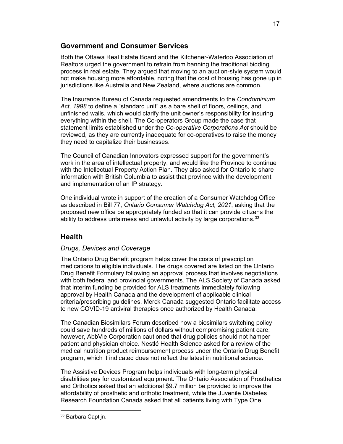# <span id="page-24-0"></span>**Government and Consumer Services**

Both the Ottawa Real Estate Board and the Kitchener-Waterloo Association of Realtors urged the government to refrain from banning the traditional bidding process in real estate. They argued that moving to an auction-style system would not make housing more affordable, noting that the cost of housing has gone up in jurisdictions like Australia and New Zealand, where auctions are common.

The Insurance Bureau of Canada requested amendments to the *Condominium Act, 1998* to define a "standard unit" as a bare shell of floors, ceilings, and unfinished walls, which would clarify the unit owner's responsibility for insuring everything within the shell. The Co-operators Group made the case that statement limits established under the *Co-operative Corporations Act* should be reviewed, as they are currently inadequate for co-operatives to raise the money they need to capitalize their businesses.

The Council of Canadian Innovators expressed support for the government's work in the area of intellectual property, and would like the Province to continue with the Intellectual Property Action Plan. They also asked for Ontario to share information with British Columbia to assist that province with the development and implementation of an IP strategy.

One individual wrote in support of the creation of a Consumer Watchdog Office as described in Bill 77, *Ontario Consumer Watchdog Act, 2021*, asking that the proposed new office be appropriately funded so that it can provide citizens the ability to address unfairness and unlawful activity by large corporations.  $33$  $33$ 

# <span id="page-24-1"></span>**Health**

# <span id="page-24-2"></span>*Drugs, Devices and Coverage*

The Ontario Drug Benefit program helps cover the costs of prescription medications to eligible individuals. The drugs covered are listed on the Ontario Drug Benefit Formulary following an approval process that involves negotiations with both federal and provincial governments. The ALS Society of Canada asked that interim funding be provided for ALS treatments immediately following approval by Health Canada and the development of applicable clinical criteria/prescribing guidelines. Merck Canada suggested Ontario facilitate access to new COVID-19 antiviral therapies once authorized by Health Canada.

The Canadian Biosimilars Forum described how a biosimilars switching policy could save hundreds of millions of dollars without compromising patient care; however, AbbVie Corporation cautioned that drug policies should not hamper patient and physician choice. Nestlé Health Science asked for a review of the medical nutrition product reimbursement process under the Ontario Drug Benefit program, which it indicated does not reflect the latest in nutritional science.

The Assistive Devices Program helps individuals with long-term physical disabilities pay for customized equipment. The Ontario Association of Prosthetics and Orthotics asked that an additional \$9.7 million be provided to improve the affordability of prosthetic and orthotic treatment, while the Juvenile Diabetes Research Foundation Canada asked that all patients living with Type One

17

<span id="page-24-3"></span> $\overline{a}$ 33 Barbara Captijn.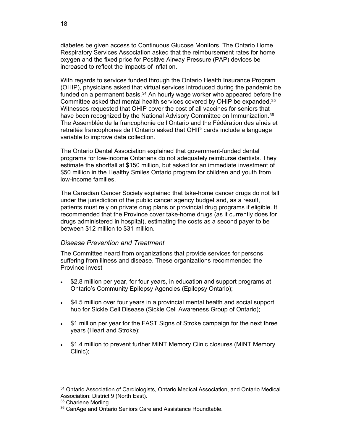diabetes be given access to Continuous Glucose Monitors. The Ontario Home Respiratory Services Association asked that the reimbursement rates for home oxygen and the fixed price for Positive Airway Pressure (PAP) devices be increased to reflect the impacts of inflation.

With regards to services funded through the Ontario Health Insurance Program (OHIP), physicians asked that virtual services introduced during the pandemic be funded on a permanent basis. $34$  An hourly wage worker who appeared before the Committee asked that mental health services covered by OHIP be expanded.<sup>[3](#page-25-2)5</sup> Witnesses requested that OHIP cover the cost of all vaccines for seniors that have been recognized by the National Advisory Committee on Immunization.<sup>[3](#page-25-3)6</sup> The Assemblée de la francophonie de l'Ontario and the Fédération des aînés et retraités francophones de l'Ontario asked that OHIP cards include a language variable to improve data collection.

The Ontario Dental Association explained that government-funded dental programs for low-income Ontarians do not adequately reimburse dentists. They estimate the shortfall at \$150 million, but asked for an immediate investment of \$50 million in the Healthy Smiles Ontario program for children and youth from low-income families.

The Canadian Cancer Society explained that take-home cancer drugs do not fall under the jurisdiction of the public cancer agency budget and, as a result, patients must rely on private drug plans or provincial drug programs if eligible. It recommended that the Province cover take-home drugs (as it currently does for drugs administered in hospital), estimating the costs as a second payer to be between \$12 million to \$31 million.

#### <span id="page-25-0"></span>*Disease Prevention and Treatment*

The Committee heard from organizations that provide services for persons suffering from illness and disease. These organizations recommended the Province invest

- \$2.8 million per year, for four years, in education and support programs at Ontario's Community Epilepsy Agencies (Epilepsy Ontario);
- \$4.5 million over four years in a provincial mental health and social support hub for Sickle Cell Disease (Sickle Cell Awareness Group of Ontario);
- \$1 million per year for the FAST Signs of Stroke campaign for the next three years (Heart and Stroke);
- \$1.4 million to prevent further MINT Memory Clinic closures (MINT Memory Clinic);

<span id="page-25-1"></span><sup>34</sup> Ontario Association of Cardiologists, Ontario Medical Association, and Ontario Medical Association: District 9 (North East).

<span id="page-25-2"></span><sup>&</sup>lt;sup>35</sup> Charlene Morling.

<span id="page-25-3"></span><sup>&</sup>lt;sup>36</sup> CanAge and Ontario Seniors Care and Assistance Roundtable.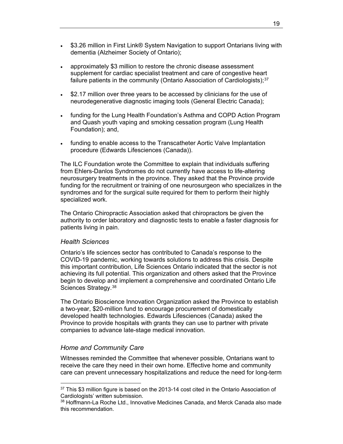- \$3.26 million in First Link® System Navigation to support Ontarians living with dementia (Alzheimer Society of Ontario);
- approximately \$3 million to restore the chronic disease assessment supplement for cardiac specialist treatment and care of congestive heart failure patients in the community (Ontario Association of Cardiologists); $37$
- \$2.17 million over three years to be accessed by clinicians for the use of neurodegenerative diagnostic imaging tools (General Electric Canada);
- funding for the Lung Health Foundation's Asthma and COPD Action Program and Quash youth vaping and smoking cessation program (Lung Health Foundation); and,
- funding to enable access to the Transcatheter Aortic Valve Implantation procedure (Edwards Lifesciences (Canada)).

The ILC Foundation wrote the Committee to explain that individuals suffering from Ehlers-Danlos Syndromes do not currently have access to life-altering neurosurgery treatments in the province. They asked that the Province provide funding for the recruitment or training of one neurosurgeon who specializes in the syndromes and for the surgical suite required for them to perform their highly specialized work.

The Ontario Chiropractic Association asked that chiropractors be given the authority to order laboratory and diagnostic tests to enable a faster diagnosis for patients living in pain.

#### <span id="page-26-0"></span>*Health Sciences*

Ontario's life sciences sector has contributed to Canada's response to the COVID-19 pandemic, working towards solutions to address this crisis. Despite this important contribution, Life Sciences Ontario indicated that the sector is not achieving its full potential. This organization and others asked that the Province begin to develop and implement a comprehensive and coordinated Ontario Life Sciences Strategy.<sup>[3](#page-26-3)8</sup>

The Ontario Bioscience Innovation Organization asked the Province to establish a two-year, \$20-million fund to encourage procurement of domestically developed health technologies. Edwards Lifesciences (Canada) asked the Province to provide hospitals with grants they can use to partner with private companies to advance late-stage medical innovation.

#### <span id="page-26-1"></span>*Home and Community Care*

 $\overline{a}$ 

Witnesses reminded the Committee that whenever possible, Ontarians want to receive the care they need in their own home. Effective home and community care can prevent unnecessary hospitalizations and reduce the need for long-term

<span id="page-26-2"></span> $37$  This \$3 million figure is based on the 2013-14 cost cited in the Ontario Association of Cardiologists' written submission.

<span id="page-26-3"></span><sup>&</sup>lt;sup>38</sup> Hoffmann-La Roche Ltd., Innovative Medicines Canada, and Merck Canada also made this recommendation.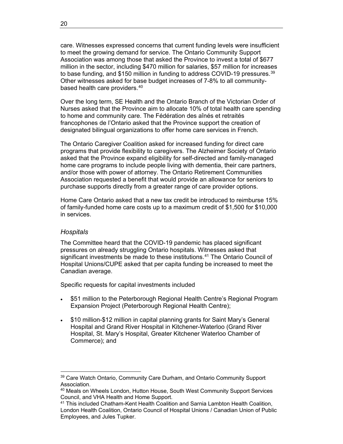care. Witnesses expressed concerns that current funding levels were insufficient to meet the growing demand for service. The Ontario Community Support Association was among those that asked the Province to invest a total of \$677 million in the sector, including \$470 million for salaries, \$57 million for increases to base funding, and \$150 million in funding to address COVID-19 pressures.<sup>[3](#page-27-1)9</sup> Other witnesses asked for base budget increases of 7-8% to all communitybased health care providers.[4](#page-27-2)0

Over the long term, SE Health and the Ontario Branch of the Victorian Order of Nurses asked that the Province aim to allocate 10% of total health care spending to home and community care. The Fédération des aînés et retraités francophones de l'Ontario asked that the Province support the creation of designated bilingual organizations to offer home care services in French.

The Ontario Caregiver Coalition asked for increased funding for direct care programs that provide flexibility to caregivers. The Alzheimer Society of Ontario asked that the Province expand eligibility for self-directed and family-managed home care programs to include people living with dementia, their care partners, and/or those with power of attorney. The Ontario Retirement Communities Association requested a benefit that would provide an allowance for seniors to purchase supports directly from a greater range of care provider options.

Home Care Ontario asked that a new tax credit be introduced to reimburse 15% of family-funded home care costs up to a maximum credit of \$1,500 for \$10,000 in services.

#### <span id="page-27-0"></span>*Hospitals*

 $\overline{a}$ 

The Committee heard that the COVID-19 pandemic has placed significant pressures on already struggling Ontario hospitals. Witnesses asked that significant investments be made to these institutions.<sup>[4](#page-27-3)1</sup> The Ontario Council of Hospital Unions/CUPE asked that per capita funding be increased to meet the Canadian average.

Specific requests for capital investments included

- \$51 million to the Peterborough Regional Health Centre's Regional Program Expansion Project (Peterborough Regional Health Centre);
- \$10 million-\$12 million in capital planning grants for Saint Mary's General Hospital and Grand River Hospital in Kitchener-Waterloo (Grand River Hospital, St. Mary's Hospital, Greater Kitchener Waterloo Chamber of Commerce); and

<span id="page-27-1"></span><sup>&</sup>lt;sup>39</sup> Care Watch Ontario, Community Care Durham, and Ontario Community Support Association.<br><sup>40</sup> Meals on Wheels London, Hutton House, South West Community Support Services

<span id="page-27-2"></span>Council, and VHA Health and Home Support.

<span id="page-27-3"></span><sup>41</sup> This included Chatham-Kent Health Coalition and Sarnia Lambton Health Coalition, London Health Coalition, Ontario Council of Hospital Unions / Canadian Union of Public Employees, and Jules Tupker.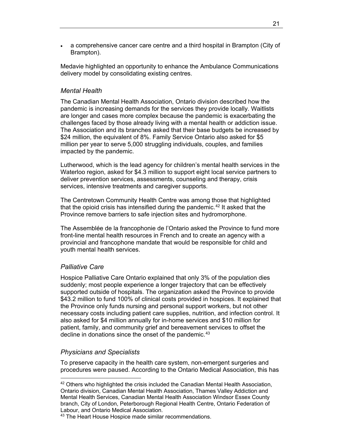• a comprehensive cancer care centre and a third hospital in Brampton (City of Brampton).

Medavie highlighted an opportunity to enhance the Ambulance Communications delivery model by consolidating existing centres.

## <span id="page-28-0"></span>*Mental Health*

The Canadian Mental Health Association, Ontario division described how the pandemic is increasing demands for the services they provide locally. Waitlists are longer and cases more complex because the pandemic is exacerbating the challenges faced by those already living with a mental health or addiction issue. The Association and its branches asked that their base budgets be increased by \$24 million, the equivalent of 8%. Family Service Ontario also asked for \$5 million per year to serve 5,000 struggling individuals, couples, and families impacted by the pandemic.

Lutherwood, which is the lead agency for children's mental health services in the Waterloo region, asked for \$4.3 million to support eight local service partners to deliver prevention services, assessments, counseling and therapy, crisis services, intensive treatments and caregiver supports.

The Centretown Community Health Centre was among those that highlighted that the opioid crisis has intensified during the pandemic.<sup>[42](#page-28-3)</sup> It asked that the Province remove barriers to safe injection sites and hydromorphone.

The Assemblée de la francophonie de l'Ontario asked the Province to fund more front-line mental health resources in French and to create an agency with a provincial and francophone mandate that would be responsible for child and youth mental health services.

#### <span id="page-28-1"></span>*Palliative Care*

 $\overline{a}$ 

Hospice Palliative Care Ontario explained that only 3% of the population dies suddenly; most people experience a longer trajectory that can be effectively supported outside of hospitals. The organization asked the Province to provide \$43.2 million to fund 100% of clinical costs provided in hospices. It explained that the Province only funds nursing and personal support workers, but not other necessary costs including patient care supplies, nutrition, and infection control. It also asked for \$4 million annually for in-home services and \$10 million for patient, family, and community grief and bereavement services to offset the decline in donations since the onset of the pandemic.<sup>[4](#page-28-4)3</sup>

#### <span id="page-28-2"></span>*Physicians and Specialists*

To preserve capacity in the health care system, non-emergent surgeries and procedures were paused. According to the Ontario Medical Association, this has

<span id="page-28-3"></span> $42$  Others who highlighted the crisis included the Canadian Mental Health Association, Ontario division, Canadian Mental Health Association, Thames Valley Addiction and Mental Health Services, Canadian Mental Health Association Windsor Essex County branch, City of London, Peterborough Regional Health Centre, Ontario Federation of Labour, and Ontario Medical Association.

<span id="page-28-4"></span><sup>43</sup> The Heart House Hospice made similar recommendations.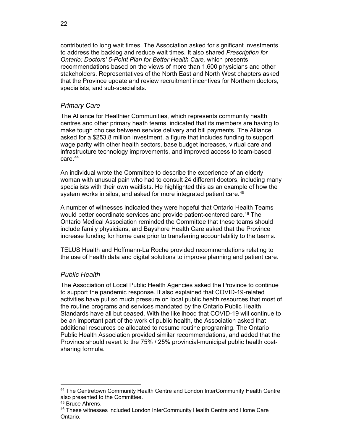contributed to long wait times. The Association asked for significant investments to address the backlog and reduce wait times. It also shared *Prescription for Ontario: Doctors' 5-Point Plan for Better Health Care,* which presents recommendations based on the views of more than 1,600 physicians and other stakeholders. Representatives of the North East and North West chapters asked that the Province update and review recruitment incentives for Northern doctors, specialists, and sub-specialists.

# <span id="page-29-0"></span>*Primary Care*

The Alliance for Healthier Communities, which represents community health centres and other primary heath teams, indicated that its members are having to make tough choices between service delivery and bill payments. The Alliance asked for a \$253.8 million investment, a figure that includes funding to support wage parity with other health sectors, base budget increases, virtual care and infrastructure technology improvements, and improved access to team-based care.[44](#page-29-2)

An individual wrote the Committee to describe the experience of an elderly woman with unusual pain who had to consult 24 different doctors, including many specialists with their own waitlists. He highlighted this as an example of how the system works in silos, and asked for more integrated patient care.<sup>[4](#page-29-3)5</sup>

A number of witnesses indicated they were hopeful that Ontario Health Teams would better coordinate services and provide patient-centered care.<sup>[46](#page-29-4)</sup> The Ontario Medical Association reminded the Committee that these teams should include family physicians, and Bayshore Health Care asked that the Province increase funding for home care prior to transferring accountability to the teams.

TELUS Health and Hoffmann-La Roche provided recommendations relating to the use of health data and digital solutions to improve planning and patient care.

# <span id="page-29-1"></span>*Public Health*

The Association of Local Public Health Agencies asked the Province to continue to support the pandemic response. It also explained that COVID-19-related activities have put so much pressure on local public health resources that most of the routine programs and services mandated by the Ontario Public Health Standards have all but ceased. With the likelihood that COVID-19 will continue to be an important part of the work of public health, the Association asked that additional resources be allocated to resume routine programing. The Ontario Public Health Association provided similar recommendations, and added that the Province should revert to the 75% / 25% provincial-municipal public health costsharing formula.

<span id="page-29-2"></span><sup>44</sup> The Centretown Community Health Centre and London InterCommunity Health Centre also presented to the Committee.<br><sup>45</sup> Bruce Ahrens.

<span id="page-29-3"></span>

<span id="page-29-4"></span><sup>&</sup>lt;sup>46</sup> These witnesses included London InterCommunity Health Centre and Home Care Ontario.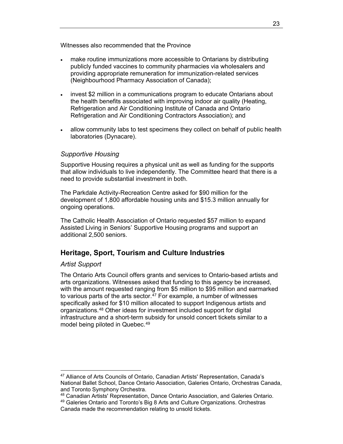Witnesses also recommended that the Province

- make routine immunizations more accessible to Ontarians by distributing publicly funded vaccines to community pharmacies via wholesalers and providing appropriate remuneration for immunization-related services (Neighbourhood Pharmacy Association of Canada);
- invest \$2 million in a communications program to educate Ontarians about the health benefits associated with improving indoor air quality (Heating, Refrigeration and Air Conditioning Institute of Canada and Ontario Refrigeration and Air Conditioning Contractors Association); and
- allow community labs to test specimens they collect on behalf of public health laboratories (Dynacare).

# <span id="page-30-0"></span>*Supportive Housing*

Supportive Housing requires a physical unit as well as funding for the supports that allow individuals to live independently. The Committee heard that there is a need to provide substantial investment in both.

The Parkdale Activity-Recreation Centre asked for \$90 million for the development of 1,800 affordable housing units and \$15.3 million annually for ongoing operations.

The Catholic Health Association of Ontario requested \$57 million to expand Assisted Living in Seniors' Supportive Housing programs and support an additional 2,500 seniors.

# <span id="page-30-1"></span>**Heritage, Sport, Tourism and Culture Industries**

#### <span id="page-30-2"></span>*Artist Support*

The Ontario Arts Council offers grants and services to Ontario-based artists and arts organizations. Witnesses asked that funding to this agency be increased, with the amount requested ranging from \$5 million to \$95 million and earmarked to various parts of the arts sector.<sup>[47](#page-30-3)</sup> For example, a number of witnesses specifically asked for \$10 million allocated to support Indigenous artists and organizations.[48](#page-30-4) Other ideas for investment included support for digital infrastructure and a short-term subsidy for unsold concert tickets similar to a model being piloted in Quebec.<sup>[4](#page-30-5)9</sup>

<span id="page-30-3"></span> $\overline{a}$ <sup>47</sup> Alliance of Arts Councils of Ontario, Canadian Artists' Representation, Canada's National Ballet School, Dance Ontario Association, Galeries Ontario, Orchestras Canada, and Toronto Symphony Orchestra.

<span id="page-30-5"></span><span id="page-30-4"></span><sup>48</sup> Canadian Artists' Representation, Dance Ontario Association, and Galeries Ontario. <sup>49</sup> Galeries Ontario and Toronto's Big 8 Arts and Culture Organizations. Orchestras

Canada made the recommendation relating to unsold tickets.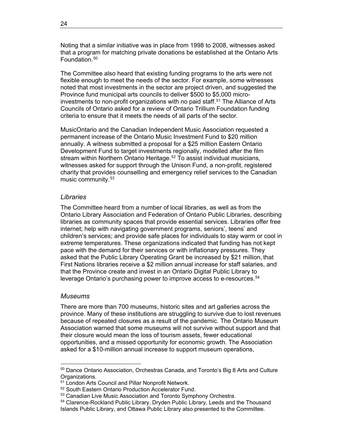Noting that a similar initiative was in place from 1998 to 2008, witnesses asked that a program for matching private donations be established at the Ontario Arts Foundation.<sup>[50](#page-31-2)</sup>

The Committee also heard that existing funding programs to the arts were not flexible enough to meet the needs of the sector. For example, some witnesses noted that most investments in the sector are project driven, and suggested the Province fund municipal arts councils to deliver \$500 to \$5,000 micro-investments to non-profit organizations with no paid staff.<sup>[51](#page-31-3)</sup> The Alliance of Arts Councils of Ontario asked for a review of Ontario Trillium Foundation funding criteria to ensure that it meets the needs of all parts of the sector.

MusicOntario and the Canadian Independent Music Association requested a permanent increase of the Ontario Music Investment Fund to \$20 million annually. A witness submitted a proposal for a \$25 million Eastern Ontario Development Fund to target investments regionally, modelled after the film stream within Northern Ontario Heritage.<sup>[52](#page-31-4)</sup> To assist individual musicians, witnesses asked for support through the Unison Fund, a non-profit, registered charity that provides counselling and emergency relief services to the Canadian music community.[5](#page-31-5)3

#### <span id="page-31-0"></span>*Libraries*

The Committee heard from a number of local libraries, as well as from the Ontario Library Association and Federation of Ontario Public Libraries, describing libraries as community spaces that provide essential services. Libraries offer free internet; help with navigating government programs, seniors', teens' and children's services; and provide safe places for individuals to stay warm or cool in extreme temperatures. These organizations indicated that funding has not kept pace with the demand for their services or with inflationary pressures. They asked that the Public Library Operating Grant be increased by \$21 million, that First Nations libraries receive a \$2 million annual increase for staff salaries, and that the Province create and invest in an Ontario Digital Public Library to leverage Ontario's purchasing power to improve access to e-resources.<sup>[54](#page-31-6)</sup>

#### <span id="page-31-1"></span>*Museums*

 $\overline{a}$ 

There are more than 700 museums, historic sites and art galleries across the province. Many of these institutions are struggling to survive due to lost revenues because of repeated closures as a result of the pandemic. The Ontario Museum Association warned that some museums will not survive without support and that their closure would mean the loss of tourism assets, fewer educational opportunities, and a missed opportunity for economic growth. The Association asked for a \$10-million annual increase to support museum operations,

<span id="page-31-2"></span><sup>&</sup>lt;sup>50</sup> Dance Ontario Association, Orchestras Canada, and Toronto's Big 8 Arts and Culture Organizations.

<span id="page-31-3"></span><sup>&</sup>lt;sup>51</sup> London Arts Council and Pillar Nonprofit Network.

<span id="page-31-4"></span><sup>52</sup> South Eastern Ontario Production Accelerator Fund.

<sup>53</sup> Canadian Live Music Association and Toronto Symphony Orchestra.

<span id="page-31-6"></span><span id="page-31-5"></span><sup>54</sup> Clarence-Rockland Public Library, Dryden Public Library, Leeds and the Thousand Islands Public Library, and Ottawa Public Library also presented to the Committee.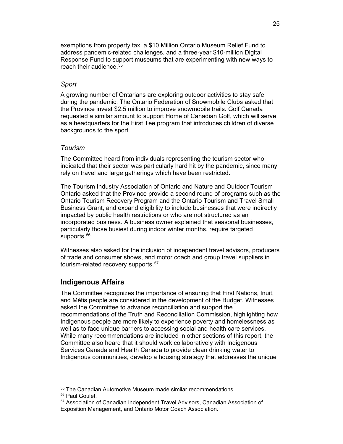exemptions from property tax, a \$10 Million Ontario Museum Relief Fund to address pandemic-related challenges, and a three-year \$10-million Digital Response Fund to support museums that are experimenting with new ways to reach their audience.<sup>[5](#page-32-3)5</sup>

#### <span id="page-32-0"></span>*Sport*

A growing number of Ontarians are exploring outdoor activities to stay safe during the pandemic. The Ontario Federation of Snowmobile Clubs asked that the Province invest \$2.5 million to improve snowmobile trails. Golf Canada requested a similar amount to support Home of Canadian Golf, which will serve as a headquarters for the First Tee program that introduces children of diverse backgrounds to the sport.

# <span id="page-32-1"></span>*Tourism*

The Committee heard from individuals representing the tourism sector who indicated that their sector was particularly hard hit by the pandemic, since many rely on travel and large gatherings which have been restricted.

The Tourism Industry Association of Ontario and Nature and Outdoor Tourism Ontario asked that the Province provide a second round of programs such as the Ontario Tourism Recovery Program and the Ontario Tourism and Travel Small Business Grant, and expand eligibility to include businesses that were indirectly impacted by public health restrictions or who are not structured as an incorporated business. A business owner explained that seasonal businesses, particularly those busiest during indoor winter months, require targeted supports.<sup>[56](#page-32-4)</sup>

Witnesses also asked for the inclusion of independent travel advisors, producers of trade and consumer shows, and motor coach and group travel suppliers in tourism-related recovery supports.<sup>[5](#page-32-5)7</sup>

# <span id="page-32-2"></span>**Indigenous Affairs**

The Committee recognizes the importance of ensuring that First Nations, Inuit, and Métis people are considered in the development of the Budget. Witnesses asked the Committee to advance reconciliation and support the recommendations of the Truth and Reconciliation Commission, highlighting how Indigenous people are more likely to experience poverty and homelessness as well as to face unique barriers to accessing social and health care services. While many recommendations are included in other sections of this report, the Committee also heard that it should work collaboratively with Indigenous Services Canada and Health Canada to provide clean drinking water to Indigenous communities, develop a housing strategy that addresses the unique

<span id="page-32-3"></span><sup>&</sup>lt;sup>55</sup> The Canadian Automotive Museum made similar recommendations.<br><sup>56</sup> Paul Goulet.

<span id="page-32-5"></span><span id="page-32-4"></span><sup>&</sup>lt;sup>57</sup> Association of Canadian Independent Travel Advisors, Canadian Association of Exposition Management, and Ontario Motor Coach Association.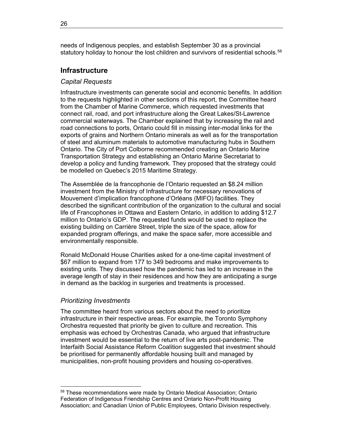needs of Indigenous peoples, and establish September 30 as a provincial statutory holiday to honour the lost children and survivors of residential schools.<sup>[5](#page-33-3)8</sup>

## <span id="page-33-0"></span>**Infrastructure**

#### <span id="page-33-1"></span>*Capital Requests*

Infrastructure investments can generate social and economic benefits. In addition to the requests highlighted in other sections of this report, the Committee heard from the Chamber of Marine Commerce, which requested investments that connect rail, road, and port infrastructure along the Great Lakes/St-Lawrence commercial waterways. The Chamber explained that by increasing the rail and road connections to ports, Ontario could fill in missing inter-modal links for the exports of grains and Northern Ontario minerals as well as for the transportation of steel and aluminum materials to automotive manufacturing hubs in Southern Ontario. The City of Port Colborne recommended creating an Ontario Marine Transportation Strategy and establishing an Ontario Marine Secretariat to develop a policy and funding framework. They proposed that the strategy could be modelled on Quebec's 2015 Maritime Strategy.

The Assemblée de la francophonie de l'Ontario requested an \$8.24 million investment from the Ministry of Infrastructure for necessary renovations of Mouvement d'implication francophone d'Orléans (MIFO) facilities. They described the significant contribution of the organization to the cultural and social life of Francophones in Ottawa and Eastern Ontario, in addition to adding \$12.7 million to Ontario's GDP. The requested funds would be used to replace the existing building on Carrière Street, triple the size of the space, allow for expanded program offerings, and make the space safer, more accessible and environmentally responsible.

Ronald McDonald House Charities asked for a one-time capital investment of \$67 million to expand from 177 to 349 bedrooms and make improvements to existing units. They discussed how the pandemic has led to an increase in the average length of stay in their residences and how they are anticipating a surge in demand as the backlog in surgeries and treatments is processed.

#### <span id="page-33-2"></span>*Prioritizing Investments*

 $\overline{a}$ 

The committee heard from various sectors about the need to prioritize infrastructure in their respective areas. For example, the Toronto Symphony Orchestra requested that priority be given to culture and recreation. This emphasis was echoed by Orchestras Canada, who argued that infrastructure investment would be essential to the return of live arts post-pandemic. The Interfaith Social Assistance Reform Coalition suggested that investment should be prioritised for permanently affordable housing built and managed by municipalities, non-profit housing providers and housing co-operatives.

<span id="page-33-3"></span><sup>58</sup> These recommendations were made by Ontario Medical Association; Ontario Federation of Indigenous Friendship Centres and Ontario Non-Profit Housing Association; and Canadian Union of Public Employees, Ontario Division respectively.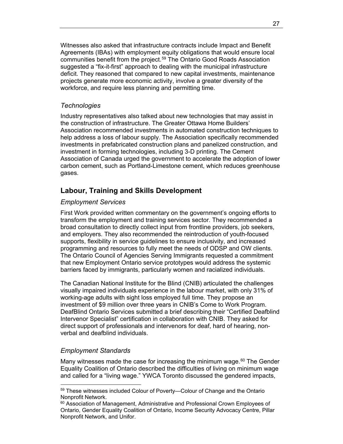Witnesses also asked that infrastructure contracts include Impact and Benefit Agreements (IBAs) with employment equity obligations that would ensure local communities benefit from the project.<sup>[59](#page-34-4)</sup> The Ontario Good Roads Association suggested a "fix-it-first" approach to dealing with the municipal infrastructure deficit. They reasoned that compared to new capital investments, maintenance projects generate more economic activity, involve a greater diversity of the workforce, and require less planning and permitting time.

#### <span id="page-34-0"></span>*Technologies*

Industry representatives also talked about new technologies that may assist in the construction of infrastructure. The Greater Ottawa Home Builders' Association recommended investments in automated construction techniques to help address a loss of labour supply. The Association specifically recommended investments in prefabricated construction plans and panelized construction, and investment in forming technologies, including 3-D printing. The Cement Association of Canada urged the government to accelerate the adoption of lower carbon cement, such as Portland-Limestone cement, which reduces greenhouse gases.

# <span id="page-34-1"></span>**Labour, Training and Skills Development**

#### <span id="page-34-2"></span>*Employment Services*

First Work provided written commentary on the government's ongoing efforts to transform the employment and training services sector. They recommended a broad consultation to directly collect input from frontline providers, job seekers, and employers. They also recommended the reintroduction of youth-focused supports, flexibility in service guidelines to ensure inclusivity, and increased programming and resources to fully meet the needs of ODSP and OW clients. The Ontario Council of Agencies Serving Immigrants requested a commitment that new Employment Ontario service prototypes would address the systemic barriers faced by immigrants, particularly women and racialized individuals.

The Canadian National Institute for the Blind (CNIB) articulated the challenges visually impaired individuals experience in the labour market, with only 31% of working-age adults with sight loss employed full time. They propose an investment of \$9 million over three years in CNIB's Come to Work Program. DeafBlind Ontario Services submitted a brief describing their "Certified Deafblind Intervenor Specialist" certification in collaboration with CNIB. They asked for direct support of professionals and intervenors for deaf, hard of hearing, nonverbal and deafblind individuals.

# <span id="page-34-3"></span>*Employment Standards*

 $\overline{a}$ 

Many witnesses made the case for increasing the minimum wage. $60$  $60$  The Gender Equality Coalition of Ontario described the difficulties of living on minimum wage and called for a "living wage." YWCA Toronto discussed the gendered impacts,

<span id="page-34-4"></span><sup>59</sup> These witnesses included Colour of Poverty—Colour of Change and the Ontario Nonprofit Network.

<span id="page-34-5"></span> $60$  Association of Management, Administrative and Professional Crown Employees of Ontario, Gender Equality Coalition of Ontario, Income Security Advocacy Centre, Pillar Nonprofit Network, and Unifor.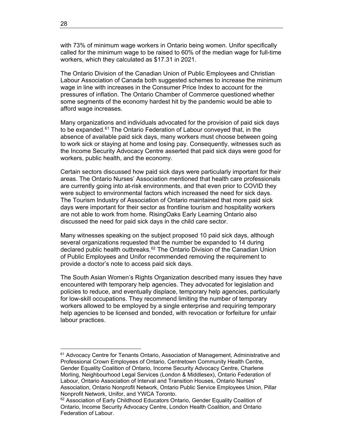with 73% of minimum wage workers in Ontario being women. Unifor specifically called for the minimum wage to be raised to 60% of the median wage for full-time workers, which they calculated as \$17.31 in 2021.

The Ontario Division of the Canadian Union of Public Employees and Christian Labour Association of Canada both suggested schemes to increase the minimum wage in line with increases in the Consumer Price Index to account for the pressures of inflation. The Ontario Chamber of Commerce questioned whether some segments of the economy hardest hit by the pandemic would be able to afford wage increases.

Many organizations and individuals advocated for the provision of paid sick days to be expanded.<sup>[6](#page-35-0)1</sup> The Ontario Federation of Labour conveyed that, in the absence of available paid sick days, many workers must choose between going to work sick or staying at home and losing pay. Consequently, witnesses such as the Income Security Advocacy Centre asserted that paid sick days were good for workers, public health, and the economy.

Certain sectors discussed how paid sick days were particularly important for their areas. The Ontario Nurses' Association mentioned that health care professionals are currently going into at-risk environments, and that even prior to COVID they were subject to environmental factors which increased the need for sick days. The Tourism Industry of Association of Ontario maintained that more paid sick days were important for their sector as frontline tourism and hospitality workers are not able to work from home. RisingOaks Early Learning Ontario also discussed the need for paid sick days in the child care sector.

Many witnesses speaking on the subject proposed 10 paid sick days, although several organizations requested that the number be expanded to 14 during declared public health outbreaks.<sup>[62](#page-35-1)</sup> The Ontario Division of the Canadian Union of Public Employees and Unifor recommended removing the requirement to provide a doctor's note to access paid sick days.

The South Asian Women's Rights Organization described many issues they have encountered with temporary help agencies. They advocated for legislation and policies to reduce, and eventually displace, temporary help agencies, particularly for low-skill occupations. They recommend limiting the number of temporary workers allowed to be employed by a single enterprise and requiring temporary help agencies to be licensed and bonded, with revocation or forfeiture for unfair labour practices.

<span id="page-35-0"></span><sup>&</sup>lt;sup>61</sup> Advocacy Centre for Tenants Ontario, Association of Management, Administrative and Professional Crown Employees of Ontario, Centretown Community Health Centre, Gender Equality Coalition of Ontario, Income Security Advocacy Centre, Charlene Morling, Neighbourhood Legal Services (London & Middlesex), Ontario Federation of Labour, Ontario Association of Interval and Transition Houses, Ontario Nurses' Association, Ontario Nonprofit Network, Ontario Public Service Employees Union, Pillar Nonprofit Network, Unifor, and YWCA Toronto.<br><sup>62</sup> Association of Early Childhood Educators Ontario, Gender Equality Coalition of

<span id="page-35-1"></span>Ontario, Income Security Advocacy Centre, London Health Coalition, and Ontario Federation of Labour.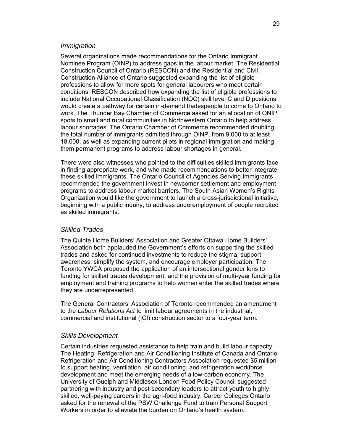#### *Immigration*

Several organizations made recommendations for the Ontario Immigrant Nominee Program (OINP) to address gaps in the labour market. The Residential Construction Council of Ontario (RESCON) and the Residential and Civil Construction Alliance of Ontario suggested expanding the list of eligible professions to allow for more spots for general labourers who meet certain conditions. RESCON described how expanding the list of eligible professions to include National Occupational Classification (NOC) skill level C and D positions would create a pathway for certain in-demand tradespeople to come to Ontario to work. The Thunder Bay Chamber of Commerce asked for an allocation of ONIP spots to small and rural communities in Northwestern Ontario to help address labour shortages. The Ontario Chamber of Commerce recommended doubling the total number of immigrants admitted through OINP, from 9,000 to at least 18,000, as well as expanding current pilots in regional immigration and making them permanent programs to address labour shortages in general.

There were also witnesses who pointed to the difficulties skilled immigrants face in finding appropriate work, and who made recommendations to better integrate these skilled immigrants. The Ontario Council of Agencies Serving Immigrants recommended the government invest in newcomer settlement and employment programs to address labour market barriers. The South Asian Women's Rights Organization would like the government to launch a cross-jurisdictional initiative, beginning with a public inquiry, to address underemployment of people recruited as skilled immigrants.

#### *Skilled Trades*

The Quinte Home Builders' Association and Greater Ottawa Home Builders' Association both applauded the Government's efforts on supporting the skilled trades and asked for continued investments to reduce the stigma, support awareness, simplify the system, and encourage employer participation. The Toronto YWCA proposed the application of an intersectional gender lens to funding for skilled trades development, and the provision of multi-year funding for employment and training programs to help women enter the skilled trades where they are underrepresented.

The General Contractors' Association of Toronto recommended an amendment to the *Labour Relations Act* to limit labour agreements in the industrial, commercial and institutional (ICI) construction sector to a four-year term.

#### *Skills Development*

Certain industries requested assistance to help train and build labour capacity. The Heating, Refrigeration and Air Conditioning Institute of Canada and Ontario Refrigeration and Air Conditioning Contractors Association requested \$5 million to support heating, ventilation, air conditioning, and refrigeration workforce development and meet the emerging needs of a low-carbon economy. The University of Guelph and Middlesex London Food Policy Council suggested partnering with industry and post-secondary leaders to attract youth to highly skilled, well-paying careers in the agri-food industry. Career Colleges Ontario asked for the renewal of the PSW Challenge Fund to train Personal Support Workers in order to alleviate the burden on Ontario's health system.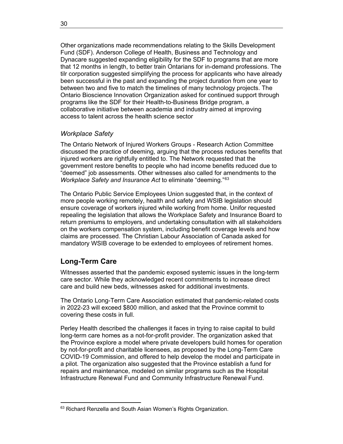Other organizations made recommendations relating to the Skills Development Fund (SDF). Anderson College of Health, Business and Technology and Dynacare suggested expanding eligibility for the SDF to programs that are more that 12 months in length, to better train Ontarians for in-demand professions. The tilr corporation suggested simplifying the process for applicants who have already been successful in the past and expanding the project duration from one year to between two and five to match the timelines of many technology projects. The Ontario Bioscience Innovation Organization asked for continued support through programs like the SDF for their Health-to-Business Bridge program, a collaborative initiative between academia and industry aimed at improving access to talent across the health science sector

# *Workplace Safety*

The Ontario Network of Injured Workers Groups - Research Action Committee discussed the practice of deeming, arguing that the process reduces benefits that injured workers are rightfully entitled to. The Network requested that the government restore benefits to people who had income benefits reduced due to "deemed" job assessments. Other witnesses also called for amendments to the *Workplace Safety and Insurance Act* to eliminate "deeming."[6](#page-37-0)3

The Ontario Public Service Employees Union suggested that, in the context of more people working remotely, health and safety and WSIB legislation should ensure coverage of workers injured while working from home. Unifor requested repealing the legislation that allows the Workplace Safety and Insurance Board to return premiums to employers, and undertaking consultation with all stakeholders on the workers compensation system, including benefit coverage levels and how claims are processed. The Christian Labour Association of Canada asked for mandatory WSIB coverage to be extended to employees of retirement homes.

# **Long-Term Care**

Witnesses asserted that the pandemic exposed systemic issues in the long-term care sector. While they acknowledged recent commitments to increase direct care and build new beds, witnesses asked for additional investments.

The Ontario Long-Term Care Association estimated that pandemic-related costs in 2022-23 will exceed \$800 million, and asked that the Province commit to covering these costs in full.

Perley Health described the challenges it faces in trying to raise capital to build long-term care homes as a not-for-profit provider. The organization asked that the Province explore a model where private developers build homes for operation by not-for-profit and charitable licensees, as proposed by the Long-Term Care COVID-19 Commission, and offered to help develop the model and participate in a pilot. The organization also suggested that the Province establish a fund for repairs and maintenance, modeled on similar programs such as the Hospital Infrastructure Renewal Fund and Community Infrastructure Renewal Fund.

<span id="page-37-0"></span> $\overline{a}$ 63 Richard Renzella and South Asian Women's Rights Organization.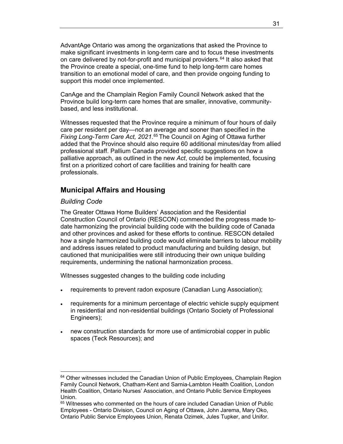AdvantAge Ontario was among the organizations that asked the Province to make significant investments in long-term care and to focus these investments on care delivered by not-for-profit and municipal providers.<sup>[64](#page-38-0)</sup> It also asked that the Province create a special, one-time fund to help long-term care homes transition to an emotional model of care, and then provide ongoing funding to support this model once implemented.

CanAge and the Champlain Region Family Council Network asked that the Province build long-term care homes that are smaller, innovative, communitybased, and less institutional.

Witnesses requested that the Province require a minimum of four hours of daily care per resident per day—not an average and sooner than specified in the *Fixing Long-Term Care Act, 2021*.[6](#page-38-1)5 The Council on Aging of Ottawa further added that the Province should also require 60 additional minutes/day from allied professional staff. Pallium Canada provided specific suggestions on how a palliative approach, as outlined in the new *Act*, could be implemented, focusing first on a prioritized cohort of care facilities and training for health care professionals.

# **Municipal Affairs and Housing**

#### *Building Code*

 $\overline{a}$ 

The Greater Ottawa Home Builders' Association and the Residential Construction Council of Ontario (RESCON) commended the progress made todate harmonizing the provincial building code with the building code of Canada and other provinces and asked for these efforts to continue. RESCON detailed how a single harmonized building code would eliminate barriers to labour mobility and address issues related to product manufacturing and building design, but cautioned that municipalities were still introducing their own unique building requirements, undermining the national harmonization process.

Witnesses suggested changes to the building code including

- requirements to prevent radon exposure (Canadian Lung Association);
- requirements for a minimum percentage of electric vehicle supply equipment in residential and non-residential buildings (Ontario Society of Professional Engineers);
- new construction standards for more use of antimicrobial copper in public spaces (Teck Resources); and

<span id="page-38-0"></span> $64$  Other witnesses included the Canadian Union of Public Employees, Champlain Region Family Council Network, Chatham-Kent and Sarnia-Lambton Health Coalition, London Health Coalition, Ontario Nurses' Association, and Ontario Public Service Employees Union.

<span id="page-38-1"></span><sup>&</sup>lt;sup>65</sup> Witnesses who commented on the hours of care included Canadian Union of Public Employees - Ontario Division, Council on Aging of Ottawa, John Jarema, Mary Oko, Ontario Public Service Employees Union, Renata Ozimek, Jules Tupker, and Unifor.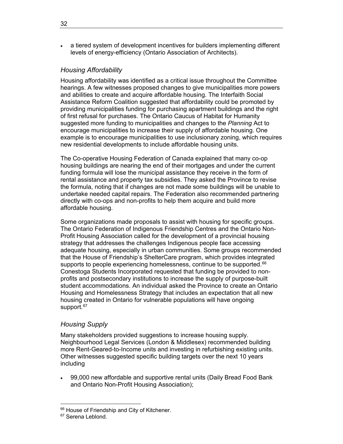• a tiered system of development incentives for builders implementing different levels of energy-efficiency (Ontario Association of Architects).

#### *Housing Affordability*

Housing affordability was identified as a critical issue throughout the Committee hearings. A few witnesses proposed changes to give municipalities more powers and abilities to create and acquire affordable housing. The Interfaith Social Assistance Reform Coalition suggested that affordability could be promoted by providing municipalities funding for purchasing apartment buildings and the right of first refusal for purchases. The Ontario Caucus of Habitat for Humanity suggested more funding to municipalities and changes to the *Planning* Act to encourage municipalities to increase their supply of affordable housing. One example is to encourage municipalities to use inclusionary zoning, which requires new residential developments to include affordable housing units.

The Co-operative Housing Federation of Canada explained that many co-op housing buildings are nearing the end of their mortgages and under the current funding formula will lose the municipal assistance they receive in the form of rental assistance and property tax subsidies. They asked the Province to revise the formula, noting that if changes are not made some buildings will be unable to undertake needed capital repairs. The Federation also recommended partnering directly with co-ops and non-profits to help them acquire and build more affordable housing.

Some organizations made proposals to assist with housing for specific groups. The Ontario Federation of Indigenous Friendship Centres and the Ontario Non-Profit Housing Association called for the development of a provincial housing strategy that addresses the challenges Indigenous people face accessing adequate housing, especially in urban communities. Some groups recommended that the House of Friendship's ShelterCare program, which provides integrated supports to people experiencing homelessness, continue to be supported.<sup>[66](#page-39-0)</sup> Conestoga Students Incorporated requested that funding be provided to nonprofits and postsecondary institutions to increase the supply of purpose-built student accommodations. An individual asked the Province to create an Ontario Housing and Homelessness Strategy that includes an expectation that all new housing created in Ontario for vulnerable populations will have ongoing support.<sup>[6](#page-39-1)7</sup>

#### *Housing Supply*

Many stakeholders provided suggestions to increase housing supply. Neighbourhood Legal Services (London & Middlesex) recommended building more Rent-Geared-to-Income units and investing in refurbishing existing units. Other witnesses suggested specific building targets over the next 10 years including

• 99,000 new affordable and supportive rental units (Daily Bread Food Bank and Ontario Non-Profit Housing Association);

 $\overline{a}$ 

<span id="page-39-0"></span><sup>&</sup>lt;sup>66</sup> House of Friendship and City of Kitchener.

<span id="page-39-1"></span><sup>&</sup>lt;sup>67</sup> Serena Leblond.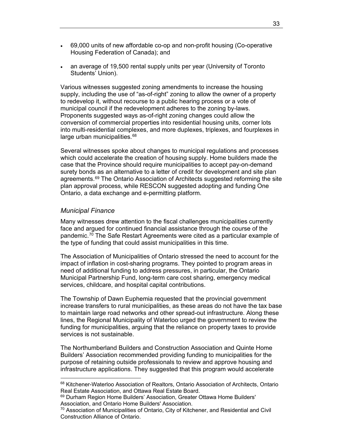- 69,000 units of new affordable co-op and non-profit housing (Co-operative Housing Federation of Canada); and
- an average of 19,500 rental supply units per year (University of Toronto Students' Union).

Various witnesses suggested zoning amendments to increase the housing supply, including the use of "as-of-right" zoning to allow the owner of a property to redevelop it, without recourse to a public hearing process or a vote of municipal council if the redevelopment adheres to the zoning by-laws. Proponents suggested ways as-of-right zoning changes could allow the conversion of commercial properties into residential housing units, corner lots into multi-residential complexes, and more duplexes, triplexes, and fourplexes in large urban municipalities.<sup>[6](#page-40-0)8</sup>

Several witnesses spoke about changes to municipal regulations and processes which could accelerate the creation of housing supply. Home builders made the case that the Province should require municipalities to accept pay-on-demand surety bonds as an alternative to a letter of credit for development and site plan agreements.<sup>[69](#page-40-1)</sup> The Ontario Association of Architects suggested reforming the site plan approval process, while RESCON suggested adopting and funding One Ontario, a data exchange and e-permitting platform.

### *Municipal Finance*

 $\overline{a}$ 

Many witnesses drew attention to the fiscal challenges municipalities currently face and argued for continued financial assistance through the course of the pandemic.<sup>[7](#page-40-2)0</sup> The Safe Restart Agreements were cited as a particular example of the type of funding that could assist municipalities in this time.

The Association of Municipalities of Ontario stressed the need to account for the impact of inflation in cost-sharing programs. They pointed to program areas in need of additional funding to address pressures, in particular, the Ontario Municipal Partnership Fund, long-term care cost sharing, emergency medical services, childcare, and hospital capital contributions.

The Township of Dawn Euphemia requested that the provincial government increase transfers to rural municipalities, as these areas do not have the tax base to maintain large road networks and other spread-out infrastructure. Along these lines, the Regional Municipality of Waterloo urged the government to review the funding for municipalities, arguing that the reliance on property taxes to provide services is not sustainable.

The Northumberland Builders and Construction Association and Quinte Home Builders' Association recommended providing funding to municipalities for the purpose of retaining outside professionals to review and approve housing and infrastructure applications. They suggested that this program would accelerate

<span id="page-40-0"></span><sup>&</sup>lt;sup>68</sup> Kitchener-Waterloo Association of Realtors, Ontario Association of Architects, Ontario<br>Real Estate Association, and Ottawa Real Estate Board.

<span id="page-40-1"></span><sup>69</sup> Durham Region Home Builders' Association, Greater Ottawa Home Builders' Association, and Ontario Home Builders' Association.

<span id="page-40-2"></span> $70$  Association of Municipalities of Ontario, City of Kitchener, and Residential and Civil Construction Alliance of Ontario.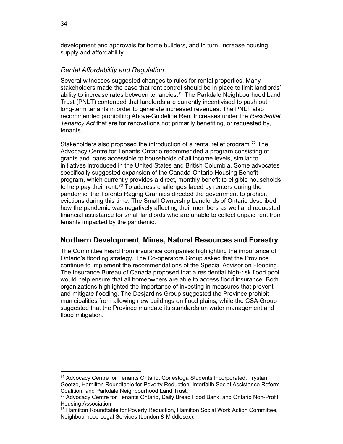development and approvals for home builders, and in turn, increase housing supply and affordability.

#### *Rental Affordability and Regulation*

Several witnesses suggested changes to rules for rental properties. Many stakeholders made the case that rent control should be in place to limit landlords' ability to increase rates between tenancies.<sup>[71](#page-41-0)</sup> The Parkdale Neighbourhood Land Trust (PNLT) contended that landlords are currently incentivised to push out long-term tenants in order to generate increased revenues. The PNLT also recommended prohibiting Above-Guideline Rent Increases under the *Residential Tenancy Act* that are for renovations not primarily benefiting, or requested by, tenants.

Stakeholders also proposed the introduction of a rental relief program.<sup>[7](#page-41-1)2</sup> The Advocacy Centre for Tenants Ontario recommended a program consisting of grants and loans accessible to households of all income levels, similar to initiatives introduced in the United States and British Columbia. Some advocates specifically suggested expansion of the Canada-Ontario Housing Benefit program, which currently provides a direct, monthly benefit to eligible households to help pay their rent.<sup>[73](#page-41-2)</sup> To address challenges faced by renters during the pandemic, the Toronto Raging Grannies directed the government to prohibit evictions during this time. The Small Ownership Landlords of Ontario described how the pandemic was negatively affecting their members as well and requested financial assistance for small landlords who are unable to collect unpaid rent from tenants impacted by the pandemic.

# **Northern Development, Mines, Natural Resources and Forestry**

The Committee heard from insurance companies highlighting the importance of Ontario's flooding strategy. The Co-operators Group asked that the Province continue to implement the recommendations of the Special Advisor on Flooding. The Insurance Bureau of Canada proposed that a residential high-risk flood pool would help ensure that all homeowners are able to access flood insurance. Both organizations highlighted the importance of investing in measures that prevent and mitigate flooding. The Desjardins Group suggested the Province prohibit municipalities from allowing new buildings on flood plains, while the CSA Group suggested that the Province mandate its standards on water management and flood mitigation.

 $\overline{a}$ 

<span id="page-41-0"></span><sup>&</sup>lt;sup>71</sup> Advocacy Centre for Tenants Ontario, Conestoga Students Incorporated, Trystan Goetze, Hamilton Roundtable for Poverty Reduction, Interfaith Social Assistance Reform Coalition, and Parkdale Neighbourhood Land Trust.

<span id="page-41-1"></span> $72$  Advocacy Centre for Tenants Ontario, Daily Bread Food Bank, and Ontario Non-Profit<br>Housing Association.

<span id="page-41-2"></span> $73$  Hamilton Roundtable for Poverty Reduction, Hamilton Social Work Action Committee, Neighbourhood Legal Services (London & Middlesex).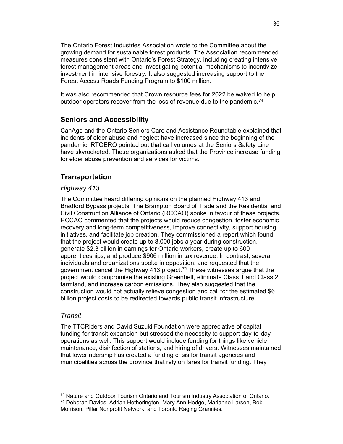The Ontario Forest Industries Association wrote to the Committee about the growing demand for sustainable forest products. The Association recommended measures consistent with Ontario's Forest Strategy, including creating intensive forest management areas and investigating potential mechanisms to incentivize investment in intensive forestry. It also suggested increasing support to the Forest Access Roads Funding Program to \$100 million.

It was also recommended that Crown resource fees for 2022 be waived to help outdoor operators recover from the loss of revenue due to the pandemic.<sup>[74](#page-42-0)</sup>

# **Seniors and Accessibility**

CanAge and the Ontario Seniors Care and Assistance Roundtable explained that incidents of elder abuse and neglect have increased since the beginning of the pandemic. RTOERO pointed out that call volumes at the Seniors Safety Line have skyrocketed. These organizations asked that the Province increase funding for elder abuse prevention and services for victims.

# **Transportation**

#### *Highway 413*

The Committee heard differing opinions on the planned Highway 413 and Bradford Bypass projects. The Brampton Board of Trade and the Residential and Civil Construction Alliance of Ontario (RCCAO) spoke in favour of these projects. RCCAO commented that the projects would reduce congestion, foster economic recovery and long-term competitiveness, improve connectivity, support housing initiatives, and facilitate job creation. They commissioned a report which found that the project would create up to 8,000 jobs a year during construction, generate \$2.3 billion in earnings for Ontario workers, create up to 600 apprenticeships, and produce \$906 million in tax revenue. In contrast, several individuals and organizations spoke in opposition, and requested that the government cancel the Highway 413 project.<sup>[7](#page-42-1)5</sup> These witnesses argue that the project would compromise the existing Greenbelt, eliminate Class 1 and Class 2 farmland, and increase carbon emissions. They also suggested that the construction would not actually relieve congestion and call for the estimated \$6 billion project costs to be redirected towards public transit infrastructure.

#### *Transit*

 $\overline{a}$ 

The TTCRiders and David Suzuki Foundation were appreciative of capital funding for transit expansion but stressed the necessity to support day-to-day operations as well. This support would include funding for things like vehicle maintenance, disinfection of stations, and hiring of drivers. Witnesses maintained that lower ridership has created a funding crisis for transit agencies and municipalities across the province that rely on fares for transit funding. They

<span id="page-42-0"></span><sup>&</sup>lt;sup>74</sup> Nature and Outdoor Tourism Ontario and Tourism Industry Association of Ontario.

<span id="page-42-1"></span><sup>&</sup>lt;sup>75</sup> Deborah Davies, Adrian Hetherington, Mary Ann Hodge, Marianne Larsen, Bob Morrison, Pillar Nonprofit Network, and Toronto Raging Grannies.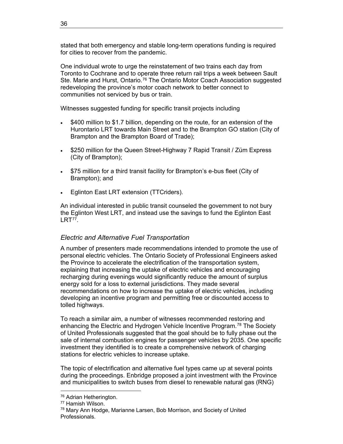stated that both emergency and stable long-term operations funding is required for cities to recover from the pandemic.

One individual wrote to urge the reinstatement of two trains each day from Toronto to Cochrane and to operate three return rail trips a week between Sault Ste. Marie and Hurst, Ontario.<sup>[7](#page-43-0)6</sup> The Ontario Motor Coach Association suggested redeveloping the province's motor coach network to better connect to communities not serviced by bus or train.

Witnesses suggested funding for specific transit projects including

- \$400 million to \$1.7 billion, depending on the route, for an extension of the Hurontario LRT towards Main Street and to the Brampton GO station (City of Brampton and the Brampton Board of Trade);
- \$250 million for the Queen Street-Highway 7 Rapid Transit / Züm Express (City of Brampton);
- \$75 million for a third transit facility for Brampton's e-bus fleet (City of Brampton); and
- Eglinton East LRT extension (TTCriders).

An individual interested in public transit counseled the government to not bury the Eglinton West LRT, and instead use the savings to fund the Eglinton East LRT<sup>[7](#page-43-1)7</sup>.

# *Electric and Alternative Fuel Transportation*

A number of presenters made recommendations intended to promote the use of personal electric vehicles. The Ontario Society of Professional Engineers asked the Province to accelerate the electrification of the transportation system, explaining that increasing the uptake of electric vehicles and encouraging recharging during evenings would significantly reduce the amount of surplus energy sold for a loss to external jurisdictions. They made several recommendations on how to increase the uptake of electric vehicles, including developing an incentive program and permitting free or discounted access to tolled highways.

To reach a similar aim, a number of witnesses recommended restoring and enhancing the Electric and Hydrogen Vehicle Incentive Program.<sup>[7](#page-43-2)8</sup> The Society of United Professionals suggested that the goal should be to fully phase out the sale of internal combustion engines for passenger vehicles by 2035. One specific investment they identified is to create a comprehensive network of charging stations for electric vehicles to increase uptake.

The topic of electrification and alternative fuel types came up at several points during the proceedings. Enbridge proposed a joint investment with the Province and municipalities to switch buses from diesel to renewable natural gas (RNG)

 $\overline{a}$ 

<span id="page-43-1"></span><span id="page-43-0"></span><sup>&</sup>lt;sup>76</sup> Adrian Hetherington.<br><sup>77</sup> Hamish Wilson.

<span id="page-43-2"></span><sup>&</sup>lt;sup>78</sup> Mary Ann Hodge, Marianne Larsen, Bob Morrison, and Society of United Professionals.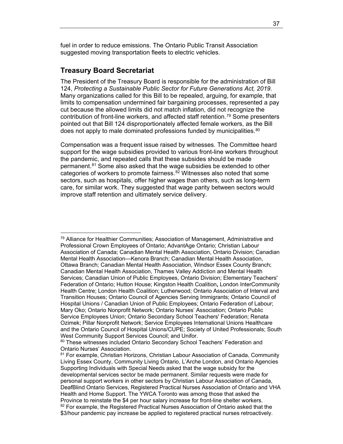fuel in order to reduce emissions. The Ontario Public Transit Association suggested moving transportation fleets to electric vehicles.

# **Treasury Board Secretariat**

 $\overline{a}$ 

The President of the Treasury Board is responsible for the administration of Bill 124, *Protecting a Sustainable Public Sector for Future Generations Act, 2019*. Many organizations called for this Bill to be repealed, arguing, for example, that limits to compensation undermined fair bargaining processes, represented a pay cut because the allowed limits did not match inflation, did not recognize the contribution of front-line workers, and affected staff retention.[7](#page-44-0)9 Some presenters pointed out that Bill 124 disproportionately affected female workers, as the Bill does not apply to male dominated professions funded by municipalities.<sup>[8](#page-44-1)0</sup>

Compensation was a frequent issue raised by witnesses. The Committee heard support for the wage subsidies provided to various front-line workers throughout the pandemic, and repeated calls that these subsides should be made permanent.[8](#page-44-2)1 Some also asked that the wage subsidies be extended to other categories of workers to promote fairness. $82$  $82$  Witnesses also noted that some sectors, such as hospitals, offer higher wages than others, such as long-term care, for similar work. They suggested that wage parity between sectors would improve staff retention and ultimately service delivery.

<span id="page-44-0"></span> $79$  Alliance for Healthier Communities; Association of Management, Administrative and Professional Crown Employees of Ontario; AdvantAge Ontario; Christian Labour Association of Canada; Canadian Mental Health Association, Ontario Division; Canadian Mental Health Association—Kenora Branch; Canadian Mental Health Association, Ottawa Branch; Canadian Mental Health Association, Windsor Essex County Branch; Canadian Mental Health Association, Thames Valley Addiction and Mental Health Services; Canadian Union of Public Employees, Ontario Division; Elementary Teachers' Federation of Ontario; Hutton House; Kingston Health Coalition**,** London InterCommunity Health Centre; London Health Coalition; Lutherwood; Ontario Association of Interval and Transition Houses; Ontario Council of Agencies Serving Immigrants; Ontario Council of Hospital Unions / Canadian Union of Public Employees; Ontario Federation of Labour; Mary Oko; Ontario Nonprofit Network; Ontario Nurses' Association; Ontario Public Service Employees Union; Ontario Secondary School Teachers' Federation; Renata Ozimek; Pillar Nonprofit Network; Service Employees International Unions Healthcare and the Ontario Council of Hospital Unions/CUPE; Society of United Professionals; South West Community Support Services Council; and Unifor.

<span id="page-44-1"></span><sup>80</sup> These witnesses included Ontario Secondary School Teachers' Federation and<br>Ontario Nurses' Association.

<span id="page-44-3"></span><span id="page-44-2"></span><sup>&</sup>lt;sup>81</sup> For example, Christian Horizons, Christian Labour Association of Canada, Community Living Essex County, Community Living Ontario, L'Arche London, and Ontario Agencies Supporting Individuals with Special Needs asked that the wage subsidy for the developmental services sector be made permanent. Similar requests were made for personal support workers in other sectors by Christian Labour Association of Canada, DeafBlind Ontario Services, Registered Practical Nurses Association of Ontario and VHA Health and Home Support. The YWCA Toronto was among those that asked the Province to reinstate the \$4 per hour salary increase for front-line shelter workers. <sup>82</sup> For example, the Registered Practical Nurses Association of Ontario asked that the \$3/hour pandemic pay increase be applied to registered practical nurses retroactively.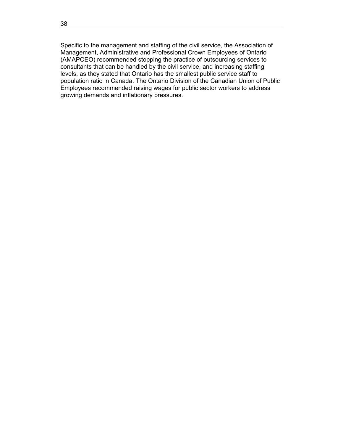Specific to the management and staffing of the civil service, the Association of Management, Administrative and Professional Crown Employees of Ontario (AMAPCEO) recommended stopping the practice of outsourcing services to consultants that can be handled by the civil service, and increasing staffing levels, as they stated that Ontario has the smallest public service staff to population ratio in Canada. The Ontario Division of the Canadian Union of Public Employees recommended raising wages for public sector workers to address growing demands and inflationary pressures.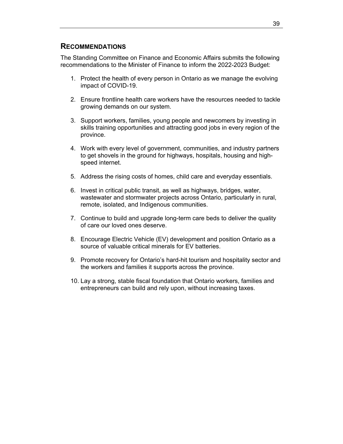# **RECOMMENDATIONS**

The Standing Committee on Finance and Economic Affairs submits the following recommendations to the Minister of Finance to inform the 2022-2023 Budget:

- 1. Protect the health of every person in Ontario as we manage the evolving impact of COVID-19.
- 2. Ensure frontline health care workers have the resources needed to tackle growing demands on our system.
- 3. Support workers, families, young people and newcomers by investing in skills training opportunities and attracting good jobs in every region of the province.
- 4. Work with every level of government, communities, and industry partners to get shovels in the ground for highways, hospitals, housing and highspeed internet.
- 5. Address the rising costs of homes, child care and everyday essentials.
- 6. Invest in critical public transit, as well as highways, bridges, water, wastewater and stormwater projects across Ontario, particularly in rural, remote, isolated, and Indigenous communities.
- 7. Continue to build and upgrade long-term care beds to deliver the quality of care our loved ones deserve.
- 8. Encourage Electric Vehicle (EV) development and position Ontario as a source of valuable critical minerals for EV batteries.
- 9. Promote recovery for Ontario's hard-hit tourism and hospitality sector and the workers and families it supports across the province.
- 10. Lay a strong, stable fiscal foundation that Ontario workers, families and entrepreneurs can build and rely upon, without increasing taxes.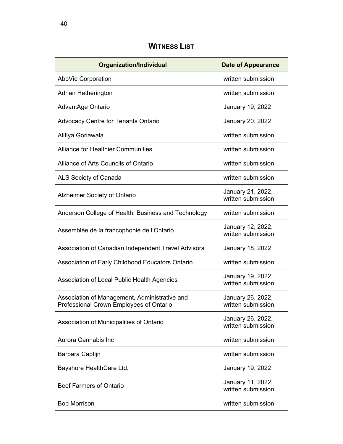# **WITNESS LIST**

| <b>Organization/Individual</b>                                                           | <b>Date of Appearance</b>               |
|------------------------------------------------------------------------------------------|-----------------------------------------|
| <b>AbbVie Corporation</b>                                                                | written submission                      |
| Adrian Hetherington                                                                      | written submission                      |
| AdvantAge Ontario                                                                        | January 19, 2022                        |
| <b>Advocacy Centre for Tenants Ontario</b>                                               | January 20, 2022                        |
| Alifiya Goriawala                                                                        | written submission                      |
| <b>Alliance for Healthier Communities</b>                                                | written submission                      |
| Alliance of Arts Councils of Ontario                                                     | written submission                      |
| ALS Society of Canada                                                                    | written submission                      |
| <b>Alzheimer Society of Ontario</b>                                                      | January 21, 2022,<br>written submission |
| Anderson College of Health, Business and Technology                                      | written submission                      |
| Assemblée de la francophonie de l'Ontario                                                | January 12, 2022,<br>written submission |
| Association of Canadian Independent Travel Advisors                                      | January 18, 2022                        |
| Association of Early Childhood Educators Ontario                                         | written submission                      |
| Association of Local Public Health Agencies                                              | January 19, 2022,<br>written submission |
| Association of Management, Administrative and<br>Professional Crown Employees of Ontario | January 26, 2022,<br>written submission |
| Association of Municipalities of Ontario                                                 | January 26, 2022,<br>written submission |
| Aurora Cannabis Inc                                                                      | written submission                      |
| Barbara Captijn                                                                          | written submission                      |
| Bayshore HealthCare Ltd.                                                                 | January 19, 2022                        |
| <b>Beef Farmers of Ontario</b>                                                           | January 11, 2022,<br>written submission |
| <b>Bob Morrison</b>                                                                      | written submission                      |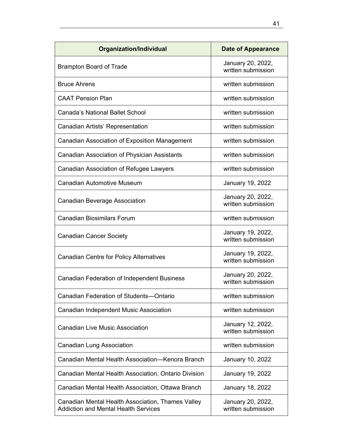| <b>Organization/Individual</b>                                                                   | <b>Date of Appearance</b>               |
|--------------------------------------------------------------------------------------------------|-----------------------------------------|
| <b>Brampton Board of Trade</b>                                                                   | January 20, 2022,<br>written submission |
| <b>Bruce Ahrens</b>                                                                              | written submission                      |
| <b>CAAT Pension Plan</b>                                                                         | written submission                      |
| <b>Canada's National Ballet School</b>                                                           | written submission                      |
| Canadian Artists' Representation                                                                 | written submission                      |
| Canadian Association of Exposition Management                                                    | written submission                      |
| Canadian Association of Physician Assistants                                                     | written submission                      |
| Canadian Association of Refugee Lawyers                                                          | written submission                      |
| <b>Canadian Automotive Museum</b>                                                                | January 19, 2022                        |
| <b>Canadian Beverage Association</b>                                                             | January 20, 2022,<br>written submission |
| <b>Canadian Biosimilars Forum</b>                                                                | written submission                      |
| <b>Canadian Cancer Society</b>                                                                   | January 19, 2022,<br>written submission |
| <b>Canadian Centre for Policy Alternatives</b>                                                   | January 19, 2022,<br>written submission |
| <b>Canadian Federation of Independent Business</b>                                               | January 20, 2022,<br>written submission |
| <b>Canadian Federation of Students-Ontario</b>                                                   | written submission                      |
| Canadian Independent Music Association                                                           | written submission                      |
| <b>Canadian Live Music Association</b>                                                           | January 12, 2022,<br>written submission |
| <b>Canadian Lung Association</b>                                                                 | written submission                      |
| Canadian Mental Health Association-Kenora Branch                                                 | January 10, 2022                        |
| Canadian Mental Health Association, Ontario Division                                             | January 19, 2022                        |
| Canadian Mental Health Association, Ottawa Branch                                                | January 18, 2022                        |
| Canadian Mental Health Association, Thames Valley<br><b>Addiction and Mental Health Services</b> | January 20, 2022,<br>written submission |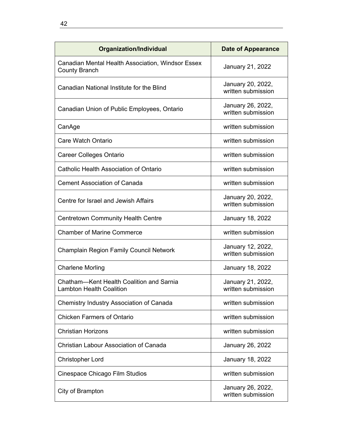| <b>Organization/Individual</b>                                              | <b>Date of Appearance</b>               |
|-----------------------------------------------------------------------------|-----------------------------------------|
| Canadian Mental Health Association, Windsor Essex<br><b>County Branch</b>   | January 21, 2022                        |
| Canadian National Institute for the Blind                                   | January 20, 2022,<br>written submission |
| Canadian Union of Public Employees, Ontario                                 | January 26, 2022,<br>written submission |
| CanAge                                                                      | written submission                      |
| Care Watch Ontario                                                          | written submission                      |
| <b>Career Colleges Ontario</b>                                              | written submission                      |
| Catholic Health Association of Ontario                                      | written submission                      |
| <b>Cement Association of Canada</b>                                         | written submission                      |
| Centre for Israel and Jewish Affairs                                        | January 20, 2022,<br>written submission |
| <b>Centretown Community Health Centre</b>                                   | January 18, 2022                        |
| <b>Chamber of Marine Commerce</b>                                           | written submission                      |
| <b>Champlain Region Family Council Network</b>                              | January 12, 2022,<br>written submission |
| <b>Charlene Morling</b>                                                     | January 18, 2022                        |
| Chatham-Kent Health Coalition and Sarnia<br><b>Lambton Health Coalition</b> | January 21, 2022,<br>written submission |
| Chemistry Industry Association of Canada                                    | written submission                      |
| <b>Chicken Farmers of Ontario</b>                                           | written submission                      |
| <b>Christian Horizons</b>                                                   | written submission                      |
| <b>Christian Labour Association of Canada</b>                               | January 26, 2022                        |
| <b>Christopher Lord</b>                                                     | January 18, 2022                        |
| Cinespace Chicago Film Studios                                              | written submission                      |
| City of Brampton                                                            | January 26, 2022,<br>written submission |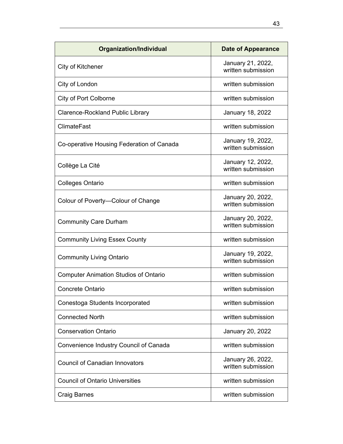| <b>Organization/Individual</b>               | <b>Date of Appearance</b>               |
|----------------------------------------------|-----------------------------------------|
| City of Kitchener                            | January 21, 2022,<br>written submission |
| City of London                               | written submission                      |
| <b>City of Port Colborne</b>                 | written submission                      |
| <b>Clarence-Rockland Public Library</b>      | January 18, 2022                        |
| <b>ClimateFast</b>                           | written submission                      |
| Co-operative Housing Federation of Canada    | January 19, 2022,<br>written submission |
| Collège La Cité                              | January 12, 2022,<br>written submission |
| <b>Colleges Ontario</b>                      | written submission                      |
| Colour of Poverty-Colour of Change           | January 20, 2022,<br>written submission |
| <b>Community Care Durham</b>                 | January 20, 2022,<br>written submission |
| <b>Community Living Essex County</b>         | written submission                      |
| <b>Community Living Ontario</b>              | January 19, 2022,<br>written submission |
| <b>Computer Animation Studios of Ontario</b> | written submission                      |
| Concrete Ontario                             | written submission                      |
| Conestoga Students Incorporated              | written submission                      |
| <b>Connected North</b>                       | written submission                      |
| <b>Conservation Ontario</b>                  | January 20, 2022                        |
| Convenience Industry Council of Canada       | written submission                      |
| <b>Council of Canadian Innovators</b>        | January 26, 2022,<br>written submission |
| <b>Council of Ontario Universities</b>       | written submission                      |
| <b>Craig Barnes</b>                          | written submission                      |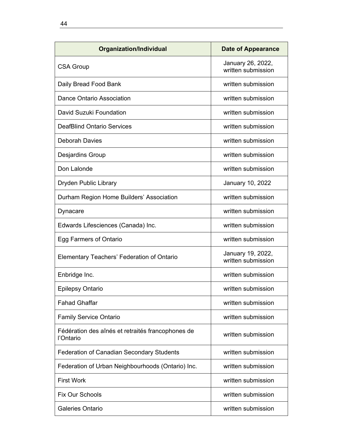| Organization/Individual                                        | Date of Appearance                      |
|----------------------------------------------------------------|-----------------------------------------|
| <b>CSA Group</b>                                               | January 26, 2022,<br>written submission |
| Daily Bread Food Bank                                          | written submission                      |
| Dance Ontario Association                                      | written submission                      |
| David Suzuki Foundation                                        | written submission                      |
| <b>DeafBlind Ontario Services</b>                              | written submission                      |
| Deborah Davies                                                 | written submission                      |
| Desjardins Group                                               | written submission                      |
| Don Lalonde                                                    | written submission                      |
| <b>Dryden Public Library</b>                                   | January 10, 2022                        |
| Durham Region Home Builders' Association                       | written submission                      |
| Dynacare                                                       | written submission                      |
| Edwards Lifesciences (Canada) Inc.                             | written submission                      |
| Egg Farmers of Ontario                                         | written submission                      |
| <b>Elementary Teachers' Federation of Ontario</b>              | January 19, 2022,<br>written submission |
| Enbridge Inc.                                                  | written submission                      |
| <b>Epilepsy Ontario</b>                                        | written submission                      |
| <b>Fahad Ghaffar</b>                                           | written submission                      |
| <b>Family Service Ontario</b>                                  | written submission                      |
| Fédération des aînés et retraités francophones de<br>l'Ontario | written submission                      |
| <b>Federation of Canadian Secondary Students</b>               | written submission                      |
| Federation of Urban Neighbourhoods (Ontario) Inc.              | written submission                      |
| <b>First Work</b>                                              | written submission                      |
| Fix Our Schools                                                | written submission                      |
| <b>Galeries Ontario</b>                                        | written submission                      |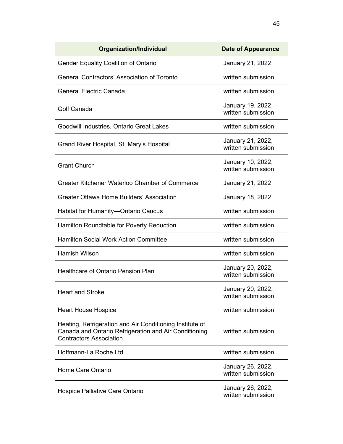| <b>Organization/Individual</b>                                                                                                                      | <b>Date of Appearance</b>               |
|-----------------------------------------------------------------------------------------------------------------------------------------------------|-----------------------------------------|
| <b>Gender Equality Coalition of Ontario</b>                                                                                                         | January 21, 2022                        |
| <b>General Contractors' Association of Toronto</b>                                                                                                  | written submission                      |
| <b>General Electric Canada</b>                                                                                                                      | written submission                      |
| Golf Canada                                                                                                                                         | January 19, 2022,<br>written submission |
| Goodwill Industries, Ontario Great Lakes                                                                                                            | written submission                      |
| Grand River Hospital, St. Mary's Hospital                                                                                                           | January 21, 2022,<br>written submission |
| <b>Grant Church</b>                                                                                                                                 | January 10, 2022,<br>written submission |
| Greater Kitchener Waterloo Chamber of Commerce                                                                                                      | January 21, 2022                        |
| Greater Ottawa Home Builders' Association                                                                                                           | January 18, 2022                        |
| Habitat for Humanity-Ontario Caucus                                                                                                                 | written submission                      |
| Hamilton Roundtable for Poverty Reduction                                                                                                           | written submission                      |
| <b>Hamilton Social Work Action Committee</b>                                                                                                        | written submission                      |
| <b>Hamish Wilson</b>                                                                                                                                | written submission                      |
| <b>Healthcare of Ontario Pension Plan</b>                                                                                                           | January 20, 2022,<br>written submission |
| <b>Heart and Stroke</b>                                                                                                                             | January 20, 2022,<br>written submission |
| <b>Heart House Hospice</b>                                                                                                                          | written submission                      |
| Heating, Refrigeration and Air Conditioning Institute of<br>Canada and Ontario Refrigeration and Air Conditioning<br><b>Contractors Association</b> | written submission                      |
| Hoffmann-La Roche Ltd.                                                                                                                              | written submission                      |
| Home Care Ontario                                                                                                                                   | January 26, 2022,<br>written submission |
| Hospice Palliative Care Ontario                                                                                                                     | January 26, 2022,<br>written submission |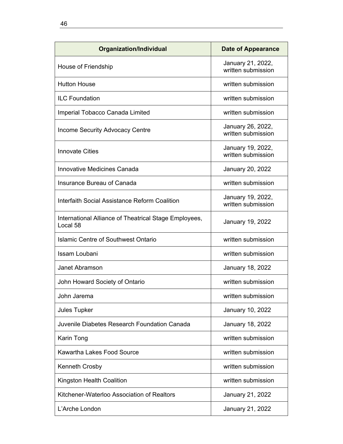| Organization/Individual                                           | <b>Date of Appearance</b>               |
|-------------------------------------------------------------------|-----------------------------------------|
| House of Friendship                                               | January 21, 2022,<br>written submission |
| <b>Hutton House</b>                                               | written submission                      |
| <b>ILC Foundation</b>                                             | written submission                      |
| Imperial Tobacco Canada Limited                                   | written submission                      |
| <b>Income Security Advocacy Centre</b>                            | January 26, 2022,<br>written submission |
| <b>Innovate Cities</b>                                            | January 19, 2022,<br>written submission |
| <b>Innovative Medicines Canada</b>                                | January 20, 2022                        |
| Insurance Bureau of Canada                                        | written submission                      |
| Interfaith Social Assistance Reform Coalition                     | January 19, 2022,<br>written submission |
| International Alliance of Theatrical Stage Employees,<br>Local 58 | January 19, 2022                        |
| Islamic Centre of Southwest Ontario                               | written submission                      |
| Issam Loubani                                                     | written submission                      |
| Janet Abramson                                                    | January 18, 2022                        |
| John Howard Society of Ontario                                    | written submission                      |
| John Jarema                                                       | written submission                      |
| Jules Tupker                                                      | January 10, 2022                        |
| Juvenile Diabetes Research Foundation Canada                      | January 18, 2022                        |
| Karin Tong                                                        | written submission                      |
| <b>Kawartha Lakes Food Source</b>                                 | written submission                      |
| Kenneth Crosby                                                    | written submission                      |
| Kingston Health Coalition                                         | written submission                      |
| Kitchener-Waterloo Association of Realtors                        | January 21, 2022                        |
| L'Arche London                                                    | January 21, 2022                        |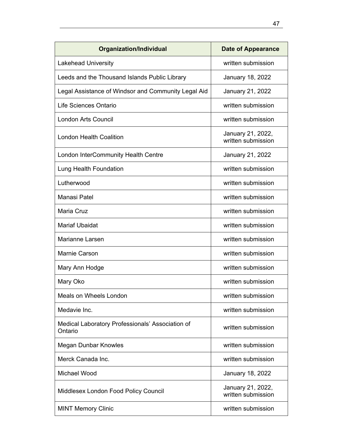| <b>Organization/Individual</b>                              | <b>Date of Appearance</b>               |
|-------------------------------------------------------------|-----------------------------------------|
| <b>Lakehead University</b>                                  | written submission                      |
| Leeds and the Thousand Islands Public Library               | January 18, 2022                        |
| Legal Assistance of Windsor and Community Legal Aid         | January 21, 2022                        |
| Life Sciences Ontario                                       | written submission                      |
| <b>London Arts Council</b>                                  | written submission                      |
| <b>London Health Coalition</b>                              | January 21, 2022,<br>written submission |
| London InterCommunity Health Centre                         | January 21, 2022                        |
| Lung Health Foundation                                      | written submission                      |
| Lutherwood                                                  | written submission                      |
| Manasi Patel                                                | written submission                      |
| Maria Cruz                                                  | written submission                      |
| <b>Mariaf Ubaidat</b>                                       | written submission                      |
| <b>Marianne Larsen</b>                                      | written submission                      |
| <b>Marnie Carson</b>                                        | written submission                      |
| Mary Ann Hodge                                              | written submission                      |
| Mary Oko                                                    | written submission                      |
| <b>Meals on Wheels London</b>                               | written submission                      |
| Medavie Inc.                                                | written submission                      |
| Medical Laboratory Professionals' Association of<br>Ontario | written submission                      |
| <b>Megan Dunbar Knowles</b>                                 | written submission                      |
| Merck Canada Inc.                                           | written submission                      |
| Michael Wood                                                | January 18, 2022                        |
| Middlesex London Food Policy Council                        | January 21, 2022,<br>written submission |
| <b>MINT Memory Clinic</b>                                   | written submission                      |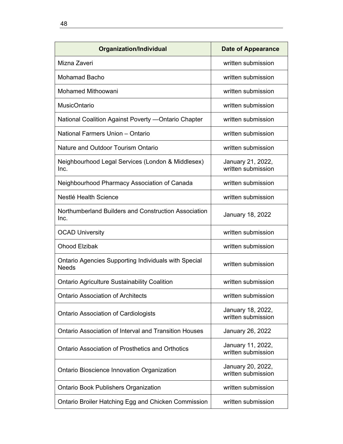| <b>Organization/Individual</b>                                              | <b>Date of Appearance</b>               |
|-----------------------------------------------------------------------------|-----------------------------------------|
| Mizna Zaveri                                                                | written submission                      |
| Mohamad Bacho                                                               | written submission                      |
| <b>Mohamed Mithoowani</b>                                                   | written submission                      |
| <b>MusicOntario</b>                                                         | written submission                      |
| National Coalition Against Poverty - Ontario Chapter                        | written submission                      |
| National Farmers Union - Ontario                                            | written submission                      |
| Nature and Outdoor Tourism Ontario                                          | written submission                      |
| Neighbourhood Legal Services (London & Middlesex)<br>Inc.                   | January 21, 2022,<br>written submission |
| Neighbourhood Pharmacy Association of Canada                                | written submission                      |
| Nestlé Health Science                                                       | written submission                      |
| Northumberland Builders and Construction Association<br>Inc.                | January 18, 2022                        |
| <b>OCAD University</b>                                                      | written submission                      |
| <b>Ohood Elzibak</b>                                                        | written submission                      |
| <b>Ontario Agencies Supporting Individuals with Special</b><br><b>Needs</b> | written submission                      |
| <b>Ontario Agriculture Sustainability Coalition</b>                         | written submission                      |
| <b>Ontario Association of Architects</b>                                    | written submission                      |
| <b>Ontario Association of Cardiologists</b>                                 | January 18, 2022,<br>written submission |
| <b>Ontario Association of Interval and Transition Houses</b>                | January 26, 2022                        |
| <b>Ontario Association of Prosthetics and Orthotics</b>                     | January 11, 2022,<br>written submission |
| <b>Ontario Bioscience Innovation Organization</b>                           | January 20, 2022,<br>written submission |
| <b>Ontario Book Publishers Organization</b>                                 | written submission                      |
| Ontario Broiler Hatching Egg and Chicken Commission                         | written submission                      |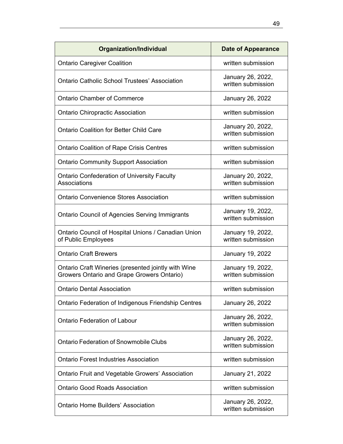| <b>Organization/Individual</b>                                                                    | <b>Date of Appearance</b>               |
|---------------------------------------------------------------------------------------------------|-----------------------------------------|
| <b>Ontario Caregiver Coalition</b>                                                                | written submission                      |
| <b>Ontario Catholic School Trustees' Association</b>                                              | January 26, 2022,<br>written submission |
| <b>Ontario Chamber of Commerce</b>                                                                | January 26, 2022                        |
| <b>Ontario Chiropractic Association</b>                                                           | written submission                      |
| <b>Ontario Coalition for Better Child Care</b>                                                    | January 20, 2022,<br>written submission |
| <b>Ontario Coalition of Rape Crisis Centres</b>                                                   | written submission                      |
| <b>Ontario Community Support Association</b>                                                      | written submission                      |
| <b>Ontario Confederation of University Faculty</b><br>Associations                                | January 20, 2022,<br>written submission |
| <b>Ontario Convenience Stores Association</b>                                                     | written submission                      |
| <b>Ontario Council of Agencies Serving Immigrants</b>                                             | January 19, 2022,<br>written submission |
| Ontario Council of Hospital Unions / Canadian Union<br>of Public Employees                        | January 19, 2022,<br>written submission |
| <b>Ontario Craft Brewers</b>                                                                      | January 19, 2022                        |
| Ontario Craft Wineries (presented jointly with Wine<br>Growers Ontario and Grape Growers Ontario) | January 19, 2022,<br>written submission |
| <b>Ontario Dental Association</b>                                                                 | written submission                      |
| <b>Ontario Federation of Indigenous Friendship Centres</b>                                        | January 26, 2022                        |
| <b>Ontario Federation of Labour</b>                                                               | January 26, 2022,<br>written submission |
| <b>Ontario Federation of Snowmobile Clubs</b>                                                     | January 26, 2022,<br>written submission |
| <b>Ontario Forest Industries Association</b>                                                      | written submission                      |
| Ontario Fruit and Vegetable Growers' Association                                                  | January 21, 2022                        |
| <b>Ontario Good Roads Association</b>                                                             | written submission                      |
| <b>Ontario Home Builders' Association</b>                                                         | January 26, 2022,<br>written submission |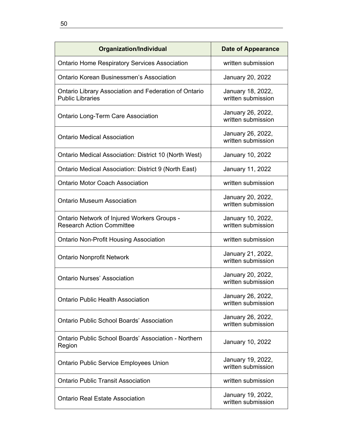| Organization/Individual                                                          | Date of Appearance                      |
|----------------------------------------------------------------------------------|-----------------------------------------|
| <b>Ontario Home Respiratory Services Association</b>                             | written submission                      |
| Ontario Korean Businessmen's Association                                         | January 20, 2022                        |
| Ontario Library Association and Federation of Ontario<br><b>Public Libraries</b> | January 18, 2022,<br>written submission |
| <b>Ontario Long-Term Care Association</b>                                        | January 26, 2022,<br>written submission |
| <b>Ontario Medical Association</b>                                               | January 26, 2022,<br>written submission |
| Ontario Medical Association: District 10 (North West)                            | January 10, 2022                        |
| Ontario Medical Association: District 9 (North East)                             | January 11, 2022                        |
| <b>Ontario Motor Coach Association</b>                                           | written submission                      |
| <b>Ontario Museum Association</b>                                                | January 20, 2022,<br>written submission |
| Ontario Network of Injured Workers Groups -<br><b>Research Action Committee</b>  | January 10, 2022,<br>written submission |
| <b>Ontario Non-Profit Housing Association</b>                                    | written submission                      |
| <b>Ontario Nonprofit Network</b>                                                 | January 21, 2022,<br>written submission |
| <b>Ontario Nurses' Association</b>                                               | January 20, 2022,<br>written submission |
| <b>Ontario Public Health Association</b>                                         | January 26, 2022,<br>written submission |
| <b>Ontario Public School Boards' Association</b>                                 | January 26, 2022,<br>written submission |
| <b>Ontario Public School Boards' Association - Northern</b><br>Region            | January 10, 2022                        |
| <b>Ontario Public Service Employees Union</b>                                    | January 19, 2022,<br>written submission |
| <b>Ontario Public Transit Association</b>                                        | written submission                      |
| <b>Ontario Real Estate Association</b>                                           | January 19, 2022,<br>written submission |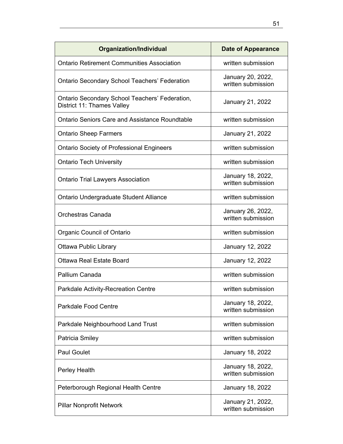| <b>Organization/Individual</b>                                               | <b>Date of Appearance</b>               |
|------------------------------------------------------------------------------|-----------------------------------------|
| <b>Ontario Retirement Communities Association</b>                            | written submission                      |
| <b>Ontario Secondary School Teachers' Federation</b>                         | January 20, 2022,<br>written submission |
| Ontario Secondary School Teachers' Federation,<br>District 11: Thames Valley | January 21, 2022                        |
| <b>Ontario Seniors Care and Assistance Roundtable</b>                        | written submission                      |
| <b>Ontario Sheep Farmers</b>                                                 | January 21, 2022                        |
| <b>Ontario Society of Professional Engineers</b>                             | written submission                      |
| <b>Ontario Tech University</b>                                               | written submission                      |
| <b>Ontario Trial Lawyers Association</b>                                     | January 18, 2022,<br>written submission |
| Ontario Undergraduate Student Alliance                                       | written submission                      |
| <b>Orchestras Canada</b>                                                     | January 26, 2022,<br>written submission |
| Organic Council of Ontario                                                   | written submission                      |
| <b>Ottawa Public Library</b>                                                 | January 12, 2022                        |
| <b>Ottawa Real Estate Board</b>                                              | January 12, 2022                        |
| Pallium Canada                                                               | written submission                      |
| <b>Parkdale Activity-Recreation Centre</b>                                   | written submission                      |
| <b>Parkdale Food Centre</b>                                                  | January 18, 2022,<br>written submission |
| Parkdale Neighbourhood Land Trust                                            | written submission                      |
| Patricia Smiley                                                              | written submission                      |
| <b>Paul Goulet</b>                                                           | January 18, 2022                        |
| Perley Health                                                                | January 18, 2022,<br>written submission |
| Peterborough Regional Health Centre                                          | January 18, 2022                        |
| <b>Pillar Nonprofit Network</b>                                              | January 21, 2022,<br>written submission |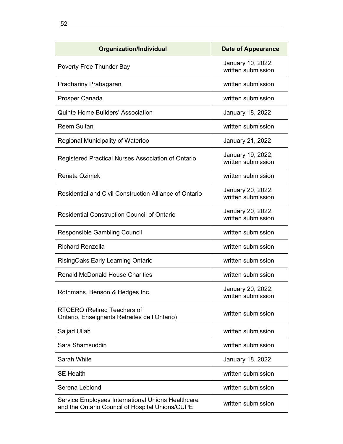| Organization/Individual                                                                              | <b>Date of Appearance</b>               |
|------------------------------------------------------------------------------------------------------|-----------------------------------------|
| Poverty Free Thunder Bay                                                                             | January 10, 2022,<br>written submission |
| Pradhariny Prabagaran                                                                                | written submission                      |
| Prosper Canada                                                                                       | written submission                      |
| <b>Quinte Home Builders' Association</b>                                                             | <b>January 18, 2022</b>                 |
| <b>Reem Sultan</b>                                                                                   | written submission                      |
| Regional Municipality of Waterloo                                                                    | January 21, 2022                        |
| Registered Practical Nurses Association of Ontario                                                   | January 19, 2022,<br>written submission |
| <b>Renata Ozimek</b>                                                                                 | written submission                      |
| <b>Residential and Civil Construction Alliance of Ontario</b>                                        | January 20, 2022,<br>written submission |
| <b>Residential Construction Council of Ontario</b>                                                   | January 20, 2022,<br>written submission |
| <b>Responsible Gambling Council</b>                                                                  | written submission                      |
| <b>Richard Renzella</b>                                                                              | written submission                      |
| RisingOaks Early Learning Ontario                                                                    | written submission                      |
| <b>Ronald McDonald House Charities</b>                                                               | written submission                      |
| Rothmans, Benson & Hedges Inc.                                                                       | January 20, 2022,<br>written submission |
| RTOERO (Retired Teachers of<br>Ontario, Enseignants Retraités de l'Ontario)                          | written submission                      |
| Saijad Ullah                                                                                         | written submission                      |
| Sara Shamsuddin                                                                                      | written submission                      |
| Sarah White                                                                                          | January 18, 2022                        |
| <b>SE Health</b>                                                                                     | written submission                      |
| Serena Leblond                                                                                       | written submission                      |
| Service Employees International Unions Healthcare<br>and the Ontario Council of Hospital Unions/CUPE | written submission                      |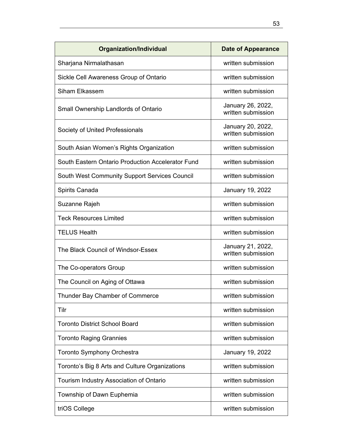| <b>Organization/Individual</b>                       | <b>Date of Appearance</b>               |
|------------------------------------------------------|-----------------------------------------|
| Sharjana Nirmalathasan                               | written submission                      |
| Sickle Cell Awareness Group of Ontario               | written submission                      |
| Siham Elkassem                                       | written submission                      |
| Small Ownership Landlords of Ontario                 | January 26, 2022,<br>written submission |
| Society of United Professionals                      | January 20, 2022,<br>written submission |
| South Asian Women's Rights Organization              | written submission                      |
| South Eastern Ontario Production Accelerator Fund    | written submission                      |
| <b>South West Community Support Services Council</b> | written submission                      |
| Spirits Canada                                       | January 19, 2022                        |
| Suzanne Rajeh                                        | written submission                      |
| <b>Teck Resources Limited</b>                        | written submission                      |
| <b>TELUS Health</b>                                  | written submission                      |
| The Black Council of Windsor-Essex                   | January 21, 2022,<br>written submission |
| The Co-operators Group                               | written submission                      |
| The Council on Aging of Ottawa                       | written submission                      |
| Thunder Bay Chamber of Commerce                      | written submission                      |
| Tilr                                                 | written submission                      |
| <b>Toronto District School Board</b>                 | written submission                      |
| <b>Toronto Raging Grannies</b>                       | written submission                      |
| <b>Toronto Symphony Orchestra</b>                    | January 19, 2022                        |
| Toronto's Big 8 Arts and Culture Organizations       | written submission                      |
| Tourism Industry Association of Ontario              | written submission                      |
| Township of Dawn Euphemia                            | written submission                      |
| triOS College                                        | written submission                      |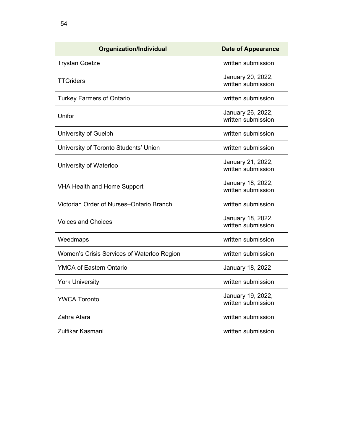| <b>Organization/Individual</b>             | <b>Date of Appearance</b>               |
|--------------------------------------------|-----------------------------------------|
| <b>Trystan Goetze</b>                      | written submission                      |
| <b>TTCriders</b>                           | January 20, 2022,<br>written submission |
| <b>Turkey Farmers of Ontario</b>           | written submission                      |
| Unifor                                     | January 26, 2022,<br>written submission |
| University of Guelph                       | written submission                      |
| University of Toronto Students' Union      | written submission                      |
| University of Waterloo                     | January 21, 2022,<br>written submission |
| <b>VHA Health and Home Support</b>         | January 18, 2022,<br>written submission |
| Victorian Order of Nurses-Ontario Branch   | written submission                      |
| <b>Voices and Choices</b>                  | January 18, 2022,<br>written submission |
| Weedmaps                                   | written submission                      |
| Women's Crisis Services of Waterloo Region | written submission                      |
| <b>YMCA of Eastern Ontario</b>             | January 18, 2022                        |
| <b>York University</b>                     | written submission                      |
| <b>YWCA Toronto</b>                        | January 19, 2022,<br>written submission |
| Zahra Afara                                | written submission                      |
| Zulfikar Kasmani                           | written submission                      |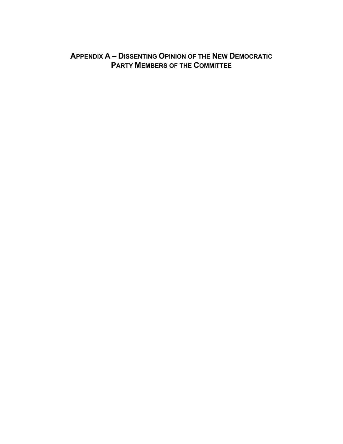# **APPENDIX A – DISSENTING OPINION OF THE NEW DEMOCRATIC PARTY MEMBERS OF THE COMMITTEE**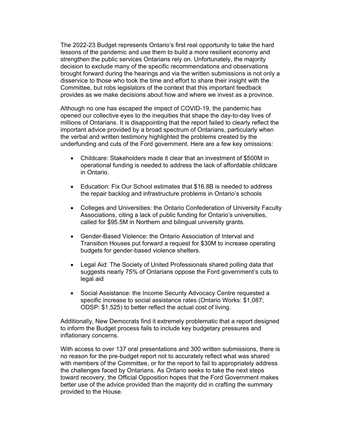The 2022-23 Budget represents Ontario's first real opportunity to take the hard lessons of the pandemic and use them to build a more resilient economy and strengthen the public services Ontarians rely on. Unfortunately, the majority decision to exclude many of the specific recommendations and observations brought forward during the hearings and via the written submissions is not only a disservice to those who took the time and effort to share their insight with the Committee, but robs legislators of the context that this important feedback provides as we make decisions about how and where we invest as a province.

Although no one has escaped the impact of COVID-19, the pandemic has opened our collective eyes to the inequities that shape the day-to-day lives of millions of Ontarians. It is disappointing that the report failed to clearly reflect the important advice provided by a broad spectrum of Ontarians, particularly when the verbal and written testimony highlighted the problems created by the underfunding and cuts of the Ford government. Here are a few key omissions:

- Childcare: Stakeholders made it clear that an investment of \$500M in operational funding is needed to address the lack of affordable childcare in Ontario.
- Education: Fix Our School estimates that \$16.8B is needed to address the repair backlog and infrastructure problems in Ontario's schools
- Colleges and Universities: the Ontario Confederation of University Faculty Associations, citing a lack of public funding for Ontario's universities, called for \$95.5M in Northern and bilingual university grants.
- Gender-Based Violence: the Ontario Association of Interval and Transition Houses put forward a request for \$30M to increase operating budgets for gender-based violence shelters.
- Legal Aid: The Society of United Professionals shared polling data that suggests nearly 75% of Ontarians oppose the Ford government's cuts to legal aid
- Social Assistance: the Income Security Advocacy Centre requested a specific increase to social assistance rates (Ontario Works: \$1,087; ODSP: \$1,525) to better reflect the actual cost of living.

Additionally, New Democrats find it extremely problematic that a report designed to inform the Budget process fails to include key budgetary pressures and inflationary concerns.

With access to over 137 oral presentations and 300 written submissions, there is no reason for the pre-budget report not to accurately reflect what was shared with members of the Committee, or for the report to fail to appropriately address the challenges faced by Ontarians. As Ontario seeks to take the next steps toward recovery, the Official Opposition hopes that the Ford Government makes better use of the advice provided than the majority did in crafting the summary provided to the House.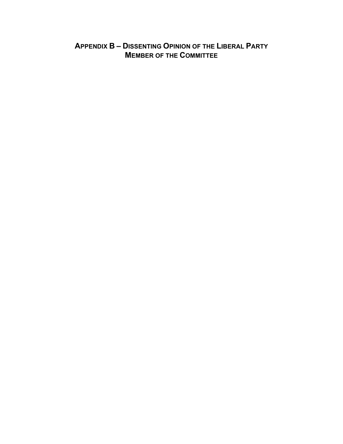# **APPENDIX B – DISSENTING OPINION OF THE LIBERAL PARTY MEMBER OF THE COMMITTEE**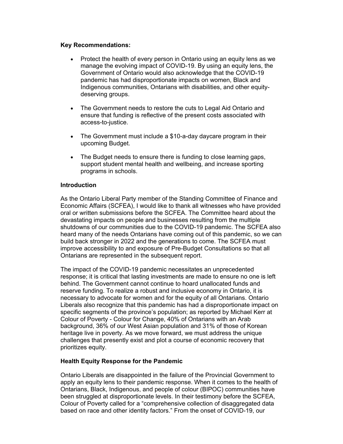### **Key Recommendations:**

- Protect the health of every person in Ontario using an equity lens as we manage the evolving impact of COVID-19. By using an equity lens, the Government of Ontario would also acknowledge that the COVID-19 pandemic has had disproportionate impacts on women, Black and Indigenous communities, Ontarians with disabilities, and other equitydeserving groups.
- The Government needs to restore the cuts to Legal Aid Ontario and ensure that funding is reflective of the present costs associated with access-to-justice.
- The Government must include a \$10-a-day daycare program in their upcoming Budget.
- The Budget needs to ensure there is funding to close learning gaps, support student mental health and wellbeing, and increase sporting programs in schools.

# **Introduction**

As the Ontario Liberal Party member of the Standing Committee of Finance and Economic Affairs (SCFEA), I would like to thank all witnesses who have provided oral or written submissions before the SCFEA. The Committee heard about the devastating impacts on people and businesses resulting from the multiple shutdowns of our communities due to the COVID-19 pandemic. The SCFEA also heard many of the needs Ontarians have coming out of this pandemic, so we can build back stronger in 2022 and the generations to come. The SCFEA must improve accessibility to and exposure of Pre-Budget Consultations so that all Ontarians are represented in the subsequent report.

The impact of the COVID-19 pandemic necessitates an unprecedented response; it is critical that lasting investments are made to ensure no one is left behind. The Government cannot continue to hoard unallocated funds and reserve funding. To realize a robust and inclusive economy in Ontario, it is necessary to advocate for women and for the equity of all Ontarians. Ontario Liberals also recognize that this pandemic has had a disproportionate impact on specific segments of the province's population; as reported by Michael Kerr at Colour of Poverty - Colour for Change, 40% of Ontarians with an Arab background, 36% of our West Asian population and 31% of those of Korean heritage live in poverty. As we move forward, we must address the unique challenges that presently exist and plot a course of economic recovery that prioritizes equity.

#### **Health Equity Response for the Pandemic**

Ontario Liberals are disappointed in the failure of the Provincial Government to apply an equity lens to their pandemic response. When it comes to the health of Ontarians, Black, Indigenous, and people of colour (BIPOC) communities have been struggled at disproportionate levels. In their testimony before the SCFEA, Colour of Poverty called for a "comprehensive collection of disaggregated data based on race and other identity factors." From the onset of COVID-19, our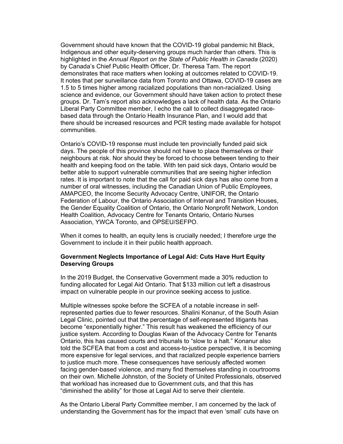Government should have known that the COVID-19 global pandemic hit Black, Indigenous and other equity-deserving groups much harder than others. This is highlighted in the *Annual Report on the State of Public Health in Canada* (2020) by Canada's Chief Public Health Officer, Dr. Theresa Tam. The report demonstrates that race matters when looking at outcomes related to COVID-19. It notes that per surveillance data from Toronto and Ottawa, COVID-19 cases are 1.5 to 5 times higher among racialized populations than non-racialized. Using science and evidence, our Government should have taken action to protect these groups. Dr. Tam's report also acknowledges a lack of health data. As the Ontario Liberal Party Committee member, I echo the call to collect disaggregated racebased data through the Ontario Health Insurance Plan, and I would add that there should be increased resources and PCR testing made available for hotspot communities.

Ontario's COVID-19 response must include ten provincially funded paid sick days. The people of this province should not have to place themselves or their neighbours at risk. Nor should they be forced to choose between tending to their health and keeping food on the table. With ten paid sick days, Ontario would be better able to support vulnerable communities that are seeing higher infection rates. It is important to note that the call for paid sick days has also come from a number of oral witnesses, including the Canadian Union of Public Employees, AMAPCEO, the Income Security Advocacy Centre, UNIFOR, the Ontario Federation of Labour, the Ontario Association of Interval and Transition Houses, the Gender Equality Coalition of Ontario, the Ontario Nonprofit Network, London Health Coalition, Advocacy Centre for Tenants Ontario, Ontario Nurses Association, YWCA Toronto, and OPSEU/SEFPO.

When it comes to health, an equity lens is crucially needed; I therefore urge the Government to include it in their public health approach.

#### **Government Neglects Importance of Legal Aid: Cuts Have Hurt Equity Deserving Groups**

In the 2019 Budget, the Conservative Government made a 30% reduction to funding allocated for Legal Aid Ontario. That \$133 million cut left a disastrous impact on vulnerable people in our province seeking access to justice.

Multiple witnesses spoke before the SCFEA of a notable increase in selfrepresented parties due to fewer resources. Shalini Konanur, of the South Asian Legal Clinic, pointed out that the percentage of self-represented litigants has become "exponentially higher." This result has weakened the efficiency of our justice system. According to Douglas Kwan of the Advocacy Centre for Tenants Ontario, this has caused courts and tribunals to "slow to a halt." Konanur also told the SCFEA that from a cost and access-to-justice perspective, it is becoming more expensive for legal services, and that racialized people experience barriers to justice much more. These consequences have seriously affected women facing gender-based violence, and many find themselves standing in courtrooms on their own. Michelle Johnston, of the Society of United Professionals, observed that workload has increased due to Government cuts, and that this has "diminished the ability" for those at Legal Aid to serve their clientele.

As the Ontario Liberal Party Committee member, I am concerned by the lack of understanding the Government has for the impact that even 'small' cuts have on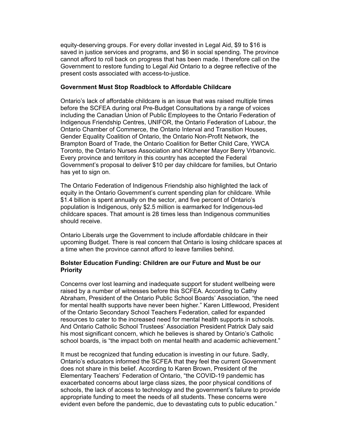equity-deserving groups. For every dollar invested in Legal Aid, \$9 to \$16 is saved in justice services and programs, and \$6 in social spending. The province cannot afford to roll back on progress that has been made. I therefore call on the Government to restore funding to Legal Aid Ontario to a degree reflective of the present costs associated with access-to-justice.

#### **Government Must Stop Roadblock to Affordable Childcare**

Ontario's lack of affordable childcare is an issue that was raised multiple times before the SCFEA during oral Pre-Budget Consultations by a range of voices including the Canadian Union of Public Employees to the Ontario Federation of Indigenous Friendship Centres, UNIFOR, the Ontario Federation of Labour, the Ontario Chamber of Commerce, the Ontario Interval and Transition Houses, Gender Equality Coalition of Ontario, the Ontario Non-Profit Network, the Brampton Board of Trade, the Ontario Coalition for Better Child Care, YWCA Toronto, the Ontario Nurses Association and Kitchener Mayor Berry Vrbanovic. Every province and territory in this country has accepted the Federal Government's proposal to deliver \$10 per day childcare for families, but Ontario has yet to sign on.

The Ontario Federation of Indigenous Friendship also highlighted the lack of equity in the Ontario Government's current spending plan for childcare. While \$1.4 billion is spent annually on the sector, and five percent of Ontario's population is Indigenous, only \$2.5 million is earmarked for Indigenous-led childcare spaces. That amount is 28 times less than Indigenous communities should receive.

Ontario Liberals urge the Government to include affordable childcare in their upcoming Budget. There is real concern that Ontario is losing childcare spaces at a time when the province cannot afford to leave families behind.

#### **Bolster Education Funding: Children are our Future and Must be our Priority**

Concerns over lost learning and inadequate support for student wellbeing were raised by a number of witnesses before this SCFEA. According to Cathy Abraham, President of the Ontario Public School Boards' Association, "the need for mental health supports have never been higher." Karen Littlewood, President of the Ontario Secondary School Teachers Federation, called for expanded resources to cater to the increased need for mental health supports in schools. And Ontario Catholic School Trustees' Association President Patrick Daly said his most significant concern, which he believes is shared by Ontario's Catholic school boards, is "the impact both on mental health and academic achievement."

It must be recognized that funding education is investing in our future. Sadly, Ontario's educators informed the SCFEA that they feel the current Government does not share in this belief. According to Karen Brown, President of the Elementary Teachers' Federation of Ontario, "the COVID-19 pandemic has exacerbated concerns about large class sizes, the poor physical conditions of schools, the lack of access to technology and the government's failure to provide appropriate funding to meet the needs of all students. These concerns were evident even before the pandemic, due to devastating cuts to public education."